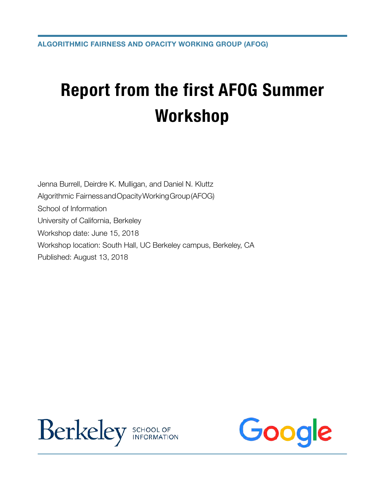## **Report from the first AFOG Summer Workshop**

Jenna Burrell, Deirdre K. Mulligan, and Daniel N. Kluttz Algorithmic FairnessandOpacityWorkingGroup(AFOG) School of Information University of California, Berkeley Workshop date: June 15, 2018 Workshop location: South Hall, UC Berkeley campus, Berkeley, CA Published: August 13, 2018



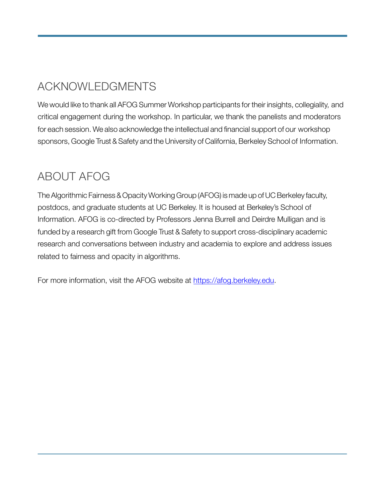## ACKNOWLEDGMENTS

We would like to thank all AFOG Summer Workshop participants for their insights, collegiality, and critical engagement during the workshop. In particular, we thank the panelists and moderators for each session. We also acknowledge the intellectual and financial support of our workshop sponsors, Google Trust & Safety and the University of California, Berkeley School of Information.

## ABOUT AFOG

TheAlgorithmic Fairness & Opacity Working Group (AFOG) is made up ofUC Berkeley faculty, postdocs, and graduate students at UC Berkeley. It is housed at Berkeley's School of Information. AFOG is co-directed by Professors Jenna Burrell and Deirdre Mulligan and is funded by a research gift from Google Trust & Safety to support cross-disciplinary academic research and conversations between industry and academia to explore and address issues related to fairness and opacity in algorithms.

For more information, visit the AFOG website at https://afog.berkeley.edu.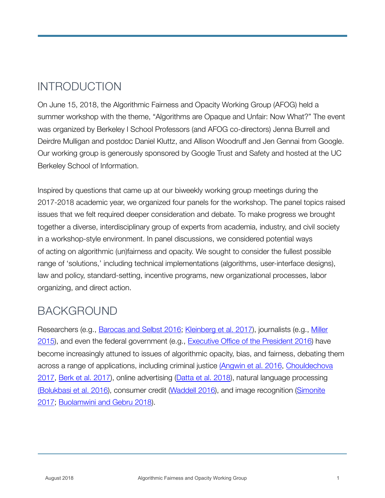## INTRODUCTION

On June 15, 2018, the Algorithmic Fairness and Opacity Working Group (AFOG) held a summer workshop with the theme, "Algorithms are Opaque and Unfair: Now What?" The event was organized by Berkeley I School Professors (and AFOG co-directors) Jenna Burrell and Deirdre Mulligan and postdoc Daniel Kluttz, and Allison Woodruff and Jen Gennai from Google. Our working group is generously sponsored by Google Trust and Safety and hosted at the UC Berkeley School of Information.

Inspired by questions that came up at our biweekly working group meetings during the 2017-2018 academic year, we organized four panels for the workshop. The panel topics raised issues that we felt required deeper consideration and debate. To make progress we brought together a diverse, interdisciplinary group of experts from academia, industry, and civil society in a workshop-style environment. In panel discussions, we considered potential ways of acting on algorithmic (un)fairness and opacity. We sought to consider the fullest possible range of 'solutions,' including technical implementations (algorithms, user-interface designs), law and policy, standard-setting, incentive programs, new organizational processes, labor organizing, and direct action.

## BACKGROUND

Researchers (e.g., [Barocas and Selbst 2016](http://www.californialawreview.org/wp-content/uploads/2016/06/2Barocas-Selbst.pdf); [Kleinberg et al. 2017\)](https://www.cs.cornell.edu/home/kleinber/aer18-fairness.pdf), journalists (e.g., [Miller](http://www.nytimes.com/2015/07/10/upshot/when-algorithms-discriminate.html)  [2015\)](http://www.nytimes.com/2015/07/10/upshot/when-algorithms-discriminate.html), and even the federal government (e.g., [Executive Office of the President 2016\)](https://obamawhitehouse.archives.gov/sites/default/files/microsites/ostp/2016_0504_data_discrimination.pdf) have become increasingly attuned to issues of algorithmic opacity, bias, and fairness, debating them across a range of applications, including criminal justice ([Angwin et al. 2016](https://www.propublica.org/article/machine-bias-risk-assessments-in-criminal-sentencing), [Chouldechova](https://www.liebertpub.com/doi/abs/10.1089/big.2016.0047)  [2017,](https://www.liebertpub.com/doi/abs/10.1089/big.2016.0047) [Berk et al. 2017\)](https://arxiv.org/abs/1703.09207), online advertising ([Datta et al. 2018\)](http://proceedings.mlr.press/v81/datta18a.html), natural language processing ([Bolukbasi et al. 2016\)](http://papers.nips.cc/paper/6228-man-is-to-computer-programmer-as-woman-is-to-homemaker-debiasing-word-embeddings.pdf), consumer credit ([Waddell 2016](https://www.theatlantic.com/technology/archive/2016/12/how-algorithms-can-bring-down-minorities-credit-scores/509333/)), and image recognition [\(Simonite](https://www.wired.com/story/machines-taught-by-photos-learn-a-sexist-view-of-women/)  [2017;](https://www.wired.com/story/machines-taught-by-photos-learn-a-sexist-view-of-women/) [Buolamwini and Gebru 2018](http://proceedings.mlr.press/v81/buolamwini18a.html)).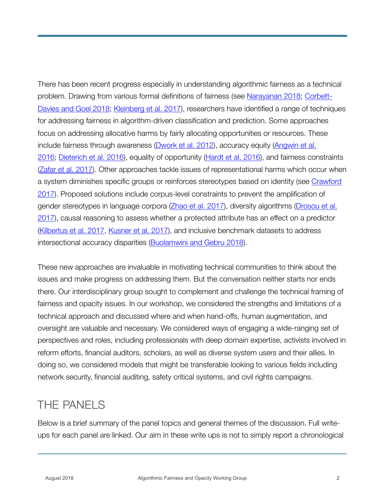There has been recent progress especially in understanding algorithmic fairness as a technical problem. Drawing from various formal definitions of fairness (see [Narayanan 2018](https://www.youtube.com/watch?v=jIXIuYdnyyk); [Corbett-](https://arxiv.org/abs/1808.00023)[Davies and Goel 2018](https://arxiv.org/abs/1808.00023); [Kleinberg et al. 2017\)](https://arxiv.org/abs/1609.05807), researchers have identified a range of techniques for addressing fairness in algorithm-driven classification and prediction. Some approaches focus on addressing allocative harms by fairly allocating opportunities or resources. These include fairness through awareness ([Dwork et al. 2012\)](https://dl.acm.org/citation.cfm?id=2090255), accuracy equity (Angwin et al. [2016;](https://www.propublica.org/article/machine-bias-risk-assessments-in-criminal-sentencing) [Dieterich et al. 2016\)](http://go.volarisgroup.com/rs/430-MBX-989/images/ProPublica_Commentary_Final_070616.pdf), equality of opportunity ([Hardt et al. 2016\)](https://arxiv.org/abs/1610.02413), and fairness constraints ([Zafar et al. 2017](https://arxiv.org/abs/1507.05259)). Other approaches tackle issues of representational harms which occur when a system diminishes specific groups or reinforces stereotypes based on identity (see [Crawford](https://www.youtube.com/watch?v=fMym_BKWQzk)  [2017\)](https://www.youtube.com/watch?v=fMym_BKWQzk). Proposed solutions include corpus-level constraints to prevent the amplification of gender stereotypes in language corpora ([Zhao et al. 2017](https://arxiv.org/abs/1707.09457)), diversity algorithms (Drosou et al. [2017\)](https://www.liebertpub.com/doi/abs/10.1089/big.2016.0054), causal reasoning to assess whether a protected attribute has an effect on a predictor ([Kilbertus et al. 2017](http://arxiv.org/abs/1706.02744), [Kusner et al. 2017](http://arxiv.org/abs/1703.06856)), and inclusive benchmark datasets to address intersectional accuracy disparities [\(Buolamwini and Gebru 2018](http://proceedings.mlr.press/v81/buolamwini18a.html)).

These new approaches are invaluable in motivating technical communities to think about the issues and make progress on addressing them. But the conversation neither starts nor ends there. Our interdisciplinary group sought to complement and challenge the technical framing of fairness and opacity issues. In our workshop, we considered the strengths and limitations of a technical approach and discussed where and when hand-offs, human augmentation, and oversight are valuable and necessary. We considered ways of engaging a wide-ranging set of perspectives and roles, including professionals with deep domain expertise, activists involved in reform efforts, financial auditors, scholars, as well as diverse system users and their allies. In doing so, we considered models that might be transferable looking to various fields including network security, financial auditing, safety critical systems, and civil rights campaigns.

#### THE PANELS

Below is a brief summary of the panel topics and general themes of the discussion. Full writeups for each panel are linked. Our aim in these write ups is not to simply report a chronological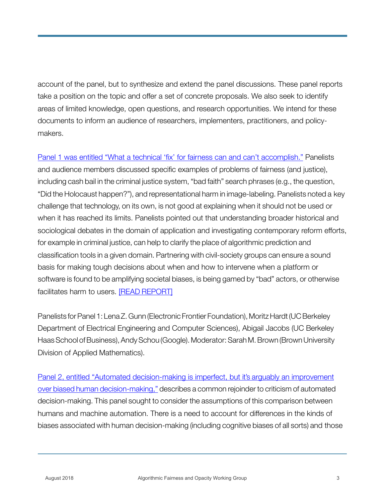account of the panel, but to synthesize and extend the panel discussions. These panel reports take a position on the topic and offer a set of concrete proposals. We also seek to identify areas of limited knowledge, open questions, and research opportunities. We intend for these documents to inform an audience of researchers, implementers, practitioners, and policymakers.

[Panel 1 was entitled "What a technical 'fix' for fairness can and can't accomplish."](https://afog.berkeley.edu/files/2018/08/AFOG_workshop_panel1_report.pdf) Panelists and audience members discussed specific examples of problems of fairness (and justice), including cash bail in the criminal justice system, "bad faith" search phrases (e.g., the question, "Did the Holocaust happen?"), and representational harm in image-labeling. Panelists noted a key challenge that technology, on its own, is not good at explaining when it should not be used or when it has reached its limits. Panelists pointed out that understanding broader historical and sociological debates in the domain of application and investigating contemporary reform efforts, for example in criminal justice, can help to clarify the place of algorithmic prediction and classification tools in a given domain. Partnering with civil-society groups can ensure a sound basis for making tough decisions about when and how to intervene when a platform or software is found to be amplifying societal biases, is being gamed by "bad" actors, or otherwise facilitates harm to users. [\[READ REPORT\]](https://afog.berkeley.edu/files/2018/08/AFOG_workshop_panel1_report.pdf)

Panelists for Panel 1: Lena Z. Gunn (Electronic Frontier Foundation), Moritz Hardt (UC Berkeley Department of Electrical Engineering and Computer Sciences), Abigail Jacobs (UC Berkeley Haas School of Business), Andy Schou (Google). Moderator: Sarah M. Brown (Brown University Division of Applied Mathematics).

[Panel 2, entitled "Automated decision-making is imperfect, but it's arguably an improvement](https://afog.berkeley.edu/files/2018/08/AFOG_workshop_panel2_report.pdf)  [over biased human decision-making,"](https://afog.berkeley.edu/files/2018/08/AFOG_workshop_panel2_report.pdf) describes a common rejoinder to criticism of automated decision-making. This panel sought to consider the assumptions of this comparison between humans and machine automation. There is a need to account for differences in the kinds of biases associated with human decision-making (including cognitive biases of all sorts) and those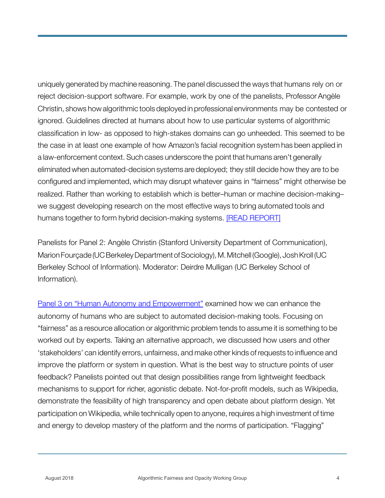uniquely generated by machine reasoning. The panel discussed the ways that humans rely on or reject decision-support software. For example, work by one of the panelists, Professor Angèle Christin, shows how algorithmic tools deployed in professional environments may be contested or ignored. Guidelines directed at humans about how to use particular systems of algorithmic classification in low- as opposed to high-stakes domains can go unheeded. This seemed to be the case in at least one example of how Amazon's facial recognition system has been applied in a law-enforcement context. Such cases underscore the point that humans aren't generally eliminated when automated-decision systems are deployed; they still decide how they are to be configured and implemented, which may disrupt whatever gains in "fairness" might otherwise be realized. Rather than working to establish which is better–human or machine decision-making– we suggest developing research on the most effective ways to bring automated tools and humans together to form hybrid decision-making systems. [\[READ REPORT\]](https://afog.berkeley.edu/files/2018/08/AFOG_workshop_panel2_report.pdf)

Panelists for Panel 2: Angèle Christin (Stanford University Department of Communication), Marion Fourçade (UC Berkeley Department of Sociology), M. Mitchell (Google), Josh Kroll (UC Berkeley School of Information). Moderator: Deirdre Mulligan (UC Berkeley School of Information).

[Panel 3 on "Human Autonomy and Empowerment"](https://afog.berkeley.edu/files/2018/08/AFOG_workshop_panel3_report.pdf) examined how we can enhance the autonomy of humans who are subject to automated decision-making tools. Focusing on "fairness" as a resource allocation or algorithmic problem tends to assume it is something to be worked out by experts. Taking an alternative approach, we discussed how users and other 'stakeholders' can identify errors, unfairness, and make other kinds of requests to influence and improve the platform or system in question. What is the best way to structure points of user feedback? Panelists pointed out that design possibilities range from lightweight feedback mechanisms to support for richer, agonistic debate. Not-for-profit models, such as Wikipedia, demonstrate the feasibility of high transparency and open debate about platform design. Yet participation on Wikipedia, while technically open to anyone, requires a high investment of time and energy to develop mastery of the platform and the norms of participation. "Flagging"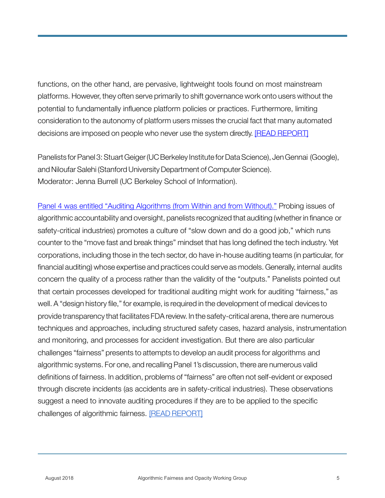functions, on the other hand, are pervasive, lightweight tools found on most mainstream platforms. However, they often serve primarily to shift governance work onto users without the potential to fundamentally influence platform policies or practices. Furthermore, limiting consideration to the autonomy of platform users misses the crucial fact that many automated decisions are imposed on people who never use the system directly. [\[READ REPORT\]](https://afog.berkeley.edu/files/2018/08/AFOG_workshop_panel3_report.pdf)

Panelists for Panel 3: Stuart Geiger (UC Berkeley Institute for Data Science), Jen Gennai (Google), and Niloufar Salehi (Stanford University Department of Computer Science). Moderator: Jenna Burrell (UC Berkeley School of Information).

[Panel 4 was entitled "Auditing Algorithms \(from Within and from Without\)."](https://afog.berkeley.edu/files/2018/08/AFOG_workshop_panel4_report.pdf) Probing issues of algorithmic accountability and oversight, panelists recognized that auditing (whether in finance or safety-critical industries) promotes a culture of "slow down and do a good job," which runs counter to the "move fast and break things" mindset that has long defined the tech industry. Yet corporations, including those in the tech sector, do have in-house auditing teams (in particular, for financial auditing) whose expertise and practices could serve as models. Generally, internal audits concern the quality of a process rather than the validity of the "outputs." Panelists pointed out that certain processes developed for traditional auditing might work for auditing "fairness," as well. A "design history file," for example, is required in the development of medical devices to provide transparency that facilitates FDA review. In the safety-critical arena, there are numerous techniques and approaches, including structured safety cases, hazard analysis, instrumentation and monitoring, and processes for accident investigation. But there are also particular challenges "fairness" presents to attempts to develop an audit process for algorithms and algorithmic systems. For one, and recalling Panel 1's discussion, there are numerous valid definitions of fairness. In addition, problems of "fairness" are often not self-evident or exposed through discrete incidents (as accidents are in safety-critical industries). These observations suggest a need to innovate auditing procedures if they are to be applied to the specific challenges of algorithmic fairness. [\[READ REPORT\]](https://afog.berkeley.edu/files/2018/08/AFOG_workshop_panel4_report.pdf)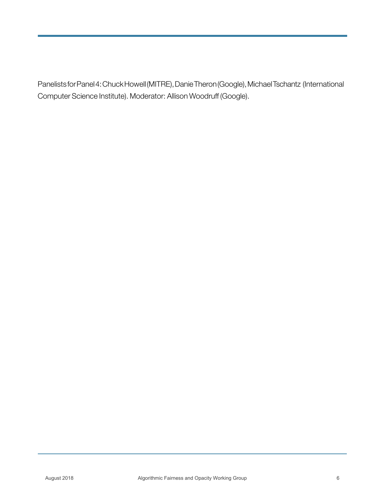Panelists for Panel 4: Chuck Howell (MITRE), Danie Theron (Google), Michael Tschantz (International Computer Science Institute). Moderator: Allison Woodruff (Google).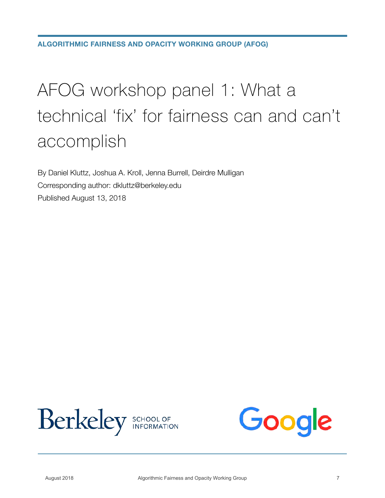## AFOG workshop panel 1: What a technical 'fix' for fairness can and can't accomplish

By Daniel Kluttz, Joshua A. Kroll, Jenna Burrell, Deirdre Mulligan Corresponding author: dkluttz@berkeley.edu Published August 13, 2018



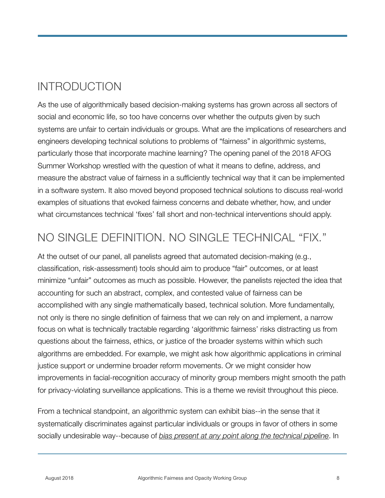## INTRODUCTION

As the use of algorithmically based decision-making systems has grown across all sectors of social and economic life, so too have concerns over whether the outputs given by such systems are unfair to certain individuals or groups. What are the implications of researchers and engineers developing technical solutions to problems of "fairness" in algorithmic systems, particularly those that incorporate machine learning? The opening panel of the 2018 AFOG Summer Workshop wrestled with the question of what it means to define, address, and measure the abstract value of fairness in a sufficiently technical way that it can be implemented in a software system. It also moved beyond proposed technical solutions to discuss real-world examples of situations that evoked fairness concerns and debate whether, how, and under what circumstances technical 'fixes' fall short and non-technical interventions should apply.

## NO SINGLE DEFINITION. NO SINGLE TECHNICAL "FIX."

At the outset of our panel, all panelists agreed that automated decision-making (e.g., classification, risk-assessment) tools should aim to produce "fair" outcomes, or at least minimize "unfair" outcomes as much as possible. However, the panelists rejected the idea that accounting for such an abstract, complex, and contested value of fairness can be accomplished with any single mathematically based, technical solution. More fundamentally, not only is there no single definition of fairness that we can rely on and implement, a narrow focus on what is technically tractable regarding 'algorithmic fairness' risks distracting us from questions about the fairness, ethics, or justice of the broader systems within which such algorithms are embedded. For example, we might ask how algorithmic applications in criminal justice support or undermine broader reform movements. Or we might consider how improvements in facial-recognition accuracy of minority group members might smooth the path for privacy-violating surveillance applications. This is a theme we revisit throughout this piece.

From a technical standpoint, an algorithmic system can exhibit bias--in the sense that it systematically discriminates against particular individuals or groups in favor of others in some socially undesirable way--because of *bias present at any point along the technical pipeline*. In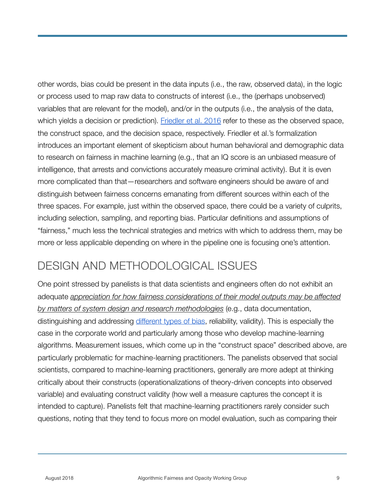other words, bias could be present in the data inputs (i.e., the raw, observed data), in the logic or process used to map raw data to constructs of interest (i.e., the (perhaps unobserved) variables that are relevant for the model), and/or in the outputs (i.e., the analysis of the data, which yields a decision or prediction). [Friedler et al. 2016](https://arxiv.org/abs/1609.07236) refer to these as the observed space, the construct space, and the decision space, respectively. Friedler et al.'s formalization introduces an important element of skepticism about human behavioral and demographic data to research on fairness in machine learning (e.g., that an IQ score is an unbiased measure of intelligence, that arrests and convictions accurately measure criminal activity). But it is even more complicated than that—researchers and software engineers should be aware of and distinguish between fairness concerns emanating from different sources within each of the three spaces. For example, just within the observed space, there could be a variety of culprits, including selection, sampling, and reporting bias. Particular definitions and assumptions of "fairness," much less the technical strategies and metrics with which to address them, may be more or less applicable depending on where in the pipeline one is focusing one's attention.

#### DESIGN AND METHODOLOGICAL ISSUES

One point stressed by panelists is that data scientists and engineers often do not exhibit an adequate *appreciation for how fairness considerations of their model outputs may be affected by matters of system design and research methodologies* (e.g., data documentation, distinguishing and addressing [different types of bias](http://doi.acm.org/10.1145/230538.230561), reliability, validity). This is especially the case in the corporate world and particularly among those who develop machine-learning algorithms. Measurement issues, which come up in the "construct space" described above, are particularly problematic for machine-learning practitioners. The panelists observed that social scientists, compared to machine-learning practitioners, generally are more adept at thinking critically about their constructs (operationalizations of theory-driven concepts into observed variable) and evaluating construct validity (how well a measure captures the concept it is intended to capture). Panelists felt that machine-learning practitioners rarely consider such questions, noting that they tend to focus more on model evaluation, such as comparing their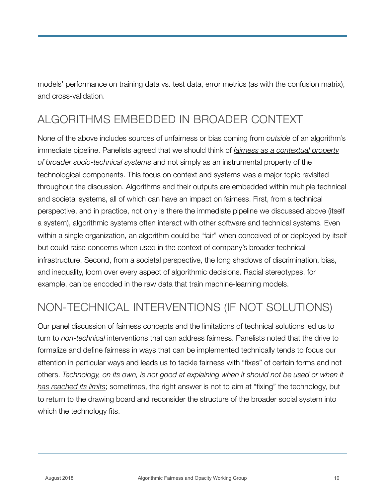models' performance on training data vs. test data, error metrics (as with the confusion matrix), and cross-validation.

## ALGORITHMS EMBEDDED IN BROADER CONTEXT

None of the above includes sources of unfairness or bias coming from *outside* of an algorithm's immediate pipeline. Panelists agreed that we should think of *fairness as a contextual property of broader socio-technical systems* and not simply as an instrumental property of the technological components. This focus on context and systems was a major topic revisited throughout the discussion. Algorithms and their outputs are embedded within multiple technical and societal systems, all of which can have an impact on fairness. First, from a technical perspective, and in practice, not only is there the immediate pipeline we discussed above (itself a system), algorithmic systems often interact with other software and technical systems. Even within a single organization, an algorithm could be "fair" when conceived of or deployed by itself but could raise concerns when used in the context of company's broader technical infrastructure. Second, from a societal perspective, the long shadows of discrimination, bias, and inequality, loom over every aspect of algorithmic decisions. Racial stereotypes, for example, can be encoded in the raw data that train machine-learning models.

## NON-TECHNICAL INTERVENTIONS (IF NOT SOLUTIONS)

Our panel discussion of fairness concepts and the limitations of technical solutions led us to turn to *non-technical* interventions that can address fairness. Panelists noted that the drive to formalize and define fairness in ways that can be implemented technically tends to focus our attention in particular ways and leads us to tackle fairness with "fixes" of certain forms and not others. *Technology, on its own, is not good at explaining when it should not be used or when it has reached its limits*; sometimes, the right answer is not to aim at "fixing" the technology, but to return to the drawing board and reconsider the structure of the broader social system into which the technology fits.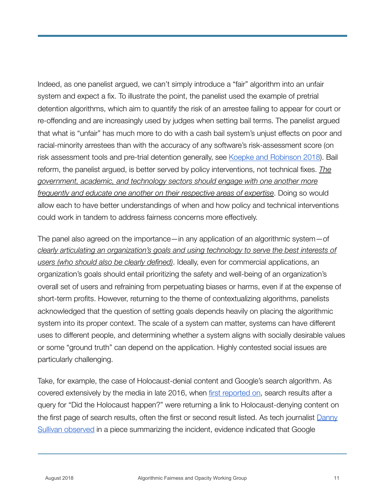Indeed, as one panelist argued, we can't simply introduce a "fair" algorithm into an unfair system and expect a fix. To illustrate the point, the panelist used the example of pretrial detention algorithms, which aim to quantify the risk of an arrestee failing to appear for court or re-offending and are increasingly used by judges when setting bail terms. The panelist argued that what is "unfair" has much more to do with a cash bail system's unjust effects on poor and racial-minority arrestees than with the accuracy of any software's risk-assessment score (on risk assessment tools and pre-trial detention generally, see [Koepke and Robinson 2018](https://papers.ssrn.com/abstract=3041622)). Bail reform, the panelist argued, is better served by policy interventions, not technical fixes. *The government, academic, and technology sectors should engage with one another more frequently and educate one another on their respective areas of expertise*. Doing so would allow each to have better understandings of when and how policy and technical interventions could work in tandem to address fairness concerns more effectively.

The panel also agreed on the importance—in any application of an algorithmic system—of *clearly articulating an organization's goals and using technology to serve the best interests of users (who should also be clearly defined)*. Ideally, even for commercial applications, an organization's goals should entail prioritizing the safety and well-being of an organization's overall set of users and refraining from perpetuating biases or harms, even if at the expense of short-term profits. However, returning to the theme of contextualizing algorithms, panelists acknowledged that the question of setting goals depends heavily on placing the algorithmic system into its proper context. The scale of a system can matter, systems can have different uses to different people, and determining whether a system aligns with socially desirable values or some "ground truth" can depend on the application. Highly contested social issues are particularly challenging.

Take, for example, the case of Holocaust-denial content and Google's search algorithm. As covered extensively by the media in late 2016, when [first reported on](https://www.theguardian.com/commentisfree/2016/dec/11/google-frames-shapes-and-distorts-how-we-see-world), search results after a query for "Did the Holocaust happen?" were returning a link to Holocaust-denying content on the first page of search results, often the first or second result listed. As tech journalist Danny [Sullivan observed](https://searchengineland.com/google-holocaust-denial-site-gone-266353) in a piece summarizing the incident, evidence indicated that Google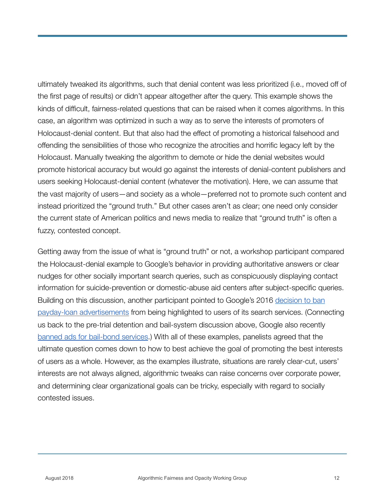ultimately tweaked its algorithms, such that denial content was less prioritized (i.e., moved off of the first page of results) or didn't appear altogether after the query. This example shows the kinds of difficult, fairness-related questions that can be raised when it comes algorithms. In this case, an algorithm was optimized in such a way as to serve the interests of promoters of Holocaust-denial content. But that also had the effect of promoting a historical falsehood and offending the sensibilities of those who recognize the atrocities and horrific legacy left by the Holocaust. Manually tweaking the algorithm to demote or hide the denial websites would promote historical accuracy but would go against the interests of denial-content publishers and users seeking Holocaust-denial content (whatever the motivation). Here, we can assume that the vast majority of users—and society as a whole—preferred not to promote such content and instead prioritized the "ground truth." But other cases aren't as clear; one need only consider the current state of American politics and news media to realize that "ground truth" is often a fuzzy, contested concept.

Getting away from the issue of what is "ground truth" or not, a workshop participant compared the Holocaust-denial example to Google's behavior in providing authoritative answers or clear nudges for other socially important search queries, such as conspicuously displaying contact information for suicide-prevention or domestic-abuse aid centers after subject-specific queries. Building on this discussion, another participant pointed to Google's 2016 decision to ban [payday-loan advertisements](https://www.nytimes.com/2016/05/12/business/google-to-ban-all-payday-loan-ads.html) from being highlighted to users of its search services. (Connecting us back to the pre-trial detention and bail-system discussion above, Google also recently [banned ads for bail-bond services.](https://www.engadget.com/2018/05/08/google-bans-ads-for-bail-bond-services/)) With all of these examples, panelists agreed that the ultimate question comes down to how to best achieve the goal of promoting the best interests of users as a whole. However, as the examples illustrate, situations are rarely clear-cut, users' interests are not always aligned, algorithmic tweaks can raise concerns over corporate power, and determining clear organizational goals can be tricky, especially with regard to socially contested issues.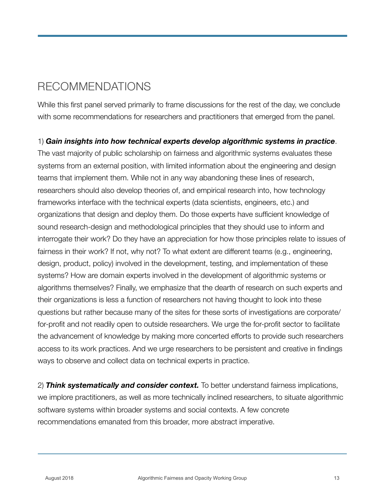## RECOMMENDATIONS

While this first panel served primarily to frame discussions for the rest of the day, we conclude with some recommendations for researchers and practitioners that emerged from the panel.

#### 1) *Gain insights into how technical experts develop algorithmic systems in practice*.

The vast majority of public scholarship on fairness and algorithmic systems evaluates these systems from an external position, with limited information about the engineering and design teams that implement them. While not in any way abandoning these lines of research, researchers should also develop theories of, and empirical research into, how technology frameworks interface with the technical experts (data scientists, engineers, etc.) and organizations that design and deploy them. Do those experts have sufficient knowledge of sound research-design and methodological principles that they should use to inform and interrogate their work? Do they have an appreciation for how those principles relate to issues of fairness in their work? If not, why not? To what extent are different teams (e.g., engineering, design, product, policy) involved in the development, testing, and implementation of these systems? How are domain experts involved in the development of algorithmic systems or algorithms themselves? Finally, we emphasize that the dearth of research on such experts and their organizations is less a function of researchers not having thought to look into these questions but rather because many of the sites for these sorts of investigations are corporate/ for-profit and not readily open to outside researchers. We urge the for-profit sector to facilitate the advancement of knowledge by making more concerted efforts to provide such researchers access to its work practices. And we urge researchers to be persistent and creative in findings ways to observe and collect data on technical experts in practice.

2) *Think systematically and consider context.* To better understand fairness implications, we implore practitioners, as well as more technically inclined researchers, to situate algorithmic software systems within broader systems and social contexts. A few concrete recommendations emanated from this broader, more abstract imperative.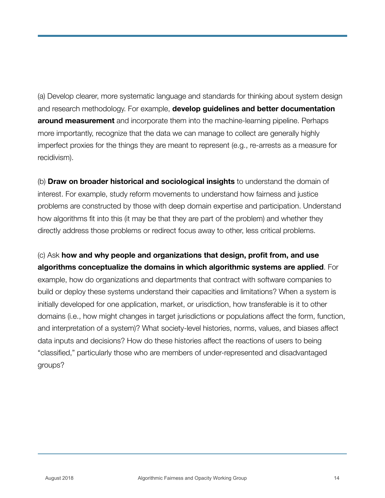(a) Develop clearer, more systematic language and standards for thinking about system design and research methodology. For example, **develop guidelines and better documentation around measurement** and incorporate them into the machine-learning pipeline. Perhaps more importantly, recognize that the data we can manage to collect are generally highly imperfect proxies for the things they are meant to represent (e.g., re-arrests as a measure for recidivism).

(b) **Draw on broader historical and sociological insights** to understand the domain of interest. For example, study reform movements to understand how fairness and justice problems are constructed by those with deep domain expertise and participation. Understand how algorithms fit into this (it may be that they are part of the problem) and whether they directly address those problems or redirect focus away to other, less critical problems.

#### (c) Ask **how and why people and organizations that design, profit from, and use algorithms conceptualize the domains in which algorithmic systems are applied**. For

example, how do organizations and departments that contract with software companies to build or deploy these systems understand their capacities and limitations? When a system is initially developed for one application, market, or urisdiction, how transferable is it to other domains (i.e., how might changes in target jurisdictions or populations affect the form, function, and interpretation of a system)? What society-level histories, norms, values, and biases affect data inputs and decisions? How do these histories affect the reactions of users to being "classified," particularly those who are members of under-represented and disadvantaged groups?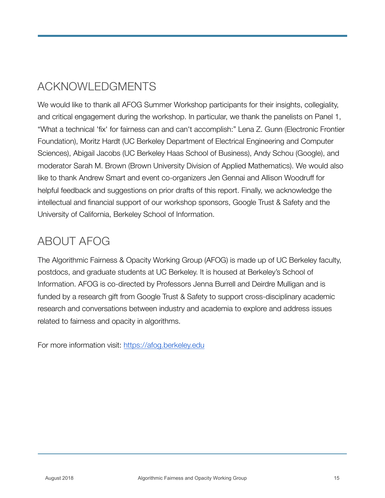## ACKNOWLEDGMENTS

We would like to thank all AFOG Summer Workshop participants for their insights, collegiality, and critical engagement during the workshop. In particular, we thank the panelists on Panel 1, "What a technical 'fix' for fairness can and can't accomplish:" Lena Z. Gunn (Electronic Frontier Foundation), Moritz Hardt (UC Berkeley Department of Electrical Engineering and Computer Sciences), Abigail Jacobs (UC Berkeley Haas School of Business), Andy Schou (Google), and moderator Sarah M. Brown (Brown University Division of Applied Mathematics). We would also like to thank Andrew Smart and event co-organizers Jen Gennai and Allison Woodruff for helpful feedback and suggestions on prior drafts of this report. Finally, we acknowledge the intellectual and financial support of our workshop sponsors, Google Trust & Safety and the University of California, Berkeley School of Information.

#### ABOUT AFOG

The Algorithmic Fairness & Opacity Working Group (AFOG) is made up of UC Berkeley faculty, postdocs, and graduate students at UC Berkeley. It is housed at Berkeley's School of Information. AFOG is co-directed by Professors Jenna Burrell and Deirdre Mulligan and is funded by a research gift from Google Trust & Safety to support cross-disciplinary academic research and conversations between industry and academia to explore and address issues related to fairness and opacity in algorithms.

For more information visit: <https://afog.berkeley.edu>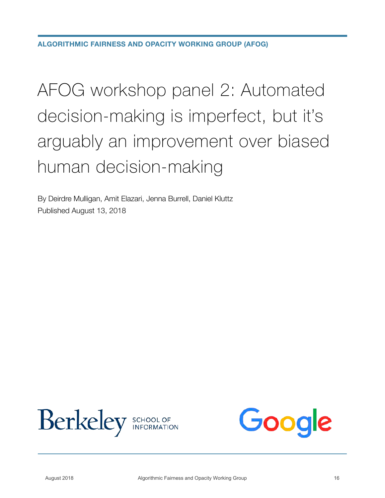# AFOG workshop panel 2: Automated decision-making is imperfect, but it's arguably an improvement over biased human decision-making

By Deirdre Mulligan, Amit Elazari, Jenna Burrell, Daniel Kluttz Published August 13, 2018



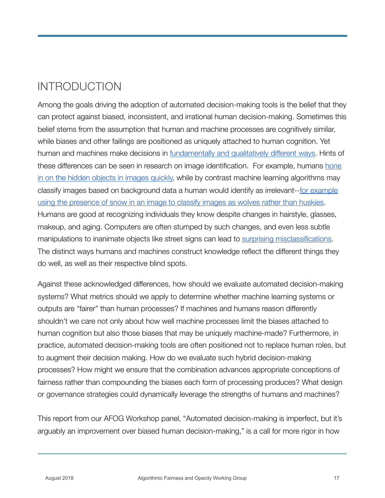## INTRODUCTION

Among the goals driving the adoption of automated decision-making tools is the belief that they can protect against biased, inconsistent, and irrational human decision-making. Sometimes this belief stems from the assumption that human and machine processes are cognitively similar, while biases and other failings are positioned as uniquely attached to human cognition. Yet human and machines make decisions in [fundamentally and qualitatively different ways](https://plato.stanford.edu/entries/embodied-cognition/). Hints of these differences can be seen in research on image identification. For example, humans hone [in on the hidden objects in images quickly,](https://www.researchgate.net/profile/Barbara_Nordhjem/publication/266156856_Systematic_eye_movements_during_recognition_of_emerging_images/links/543d0b3f0cf20af5cfbf94c4/Systematic-eye-movements-during-recognition-of-emerging-images.pdf) while by contrast machine learning algorithms may classify images based on background data a human would identify as irrelevant--[for example](https://arxiv.org/pdf/1602.04938.pdf?__hstc=200028081.1bb630f9cde2cb5f07430159d50a3c91.1523923200081.1523923200082.1523923200083.1&__hssc=200028081.1.1523923200084&__hsfp=1773666937)  [using the presence of snow in an image to classify images as wolves rather than huskies.](https://arxiv.org/pdf/1602.04938.pdf?__hstc=200028081.1bb630f9cde2cb5f07430159d50a3c91.1523923200081.1523923200082.1523923200083.1&__hssc=200028081.1.1523923200084&__hsfp=1773666937) Humans are good at recognizing individuals they know despite changes in hairstyle, glasses, makeup, and aging. Computers are often stumped by such changes, and even less subtle manipulations to inanimate objects like street signs can lead to [surprising misclassifications](https://pdfs.semanticscholar.org/e373/d6275ec975c9c74e35348486d9b262b3ecbd.pdf). The distinct ways humans and machines construct knowledge reflect the different things they do well, as well as their respective blind spots.

Against these acknowledged differences, how should we evaluate automated decision-making systems? What metrics should we apply to determine whether machine learning systems or outputs are "fairer" than human processes? If machines and humans reason differently shouldn't we care not only about how well machine processes limit the biases attached to human cognition but also those biases that may be uniquely machine-made? Furthermore, in practice, automated decision-making tools are often positioned not to replace human roles, but to augment their decision making. How do we evaluate such hybrid decision-making processes? How might we ensure that the combination advances appropriate conceptions of fairness rather than compounding the biases each form of processing produces? What design or governance strategies could dynamically leverage the strengths of humans and machines?

This report from our AFOG Workshop panel, "Automated decision-making is imperfect, but it's arguably an improvement over biased human decision-making," is a call for more rigor in how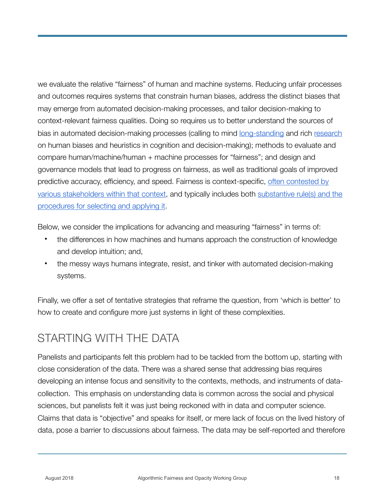we evaluate the relative "fairness" of human and machine systems. Reducing unfair processes and outcomes requires systems that constrain human biases, address the distinct biases that may emerge from automated decision-making processes, and tailor decision-making to context-relevant fairness qualities. Doing so requires us to better understand the sources of bias in automated decision-making processes (calling to mind [long-standing](http://science.sciencemag.org/content/185/4157/1124) and rich [research](http://a.co/4MiWbAC) on human biases and heuristics in cognition and decision-making); methods to evaluate and compare human/machine/human + machine processes for "fairness"; and design and governance models that lead to progress on fairness, as well as traditional goals of improved predictive accuracy, efficiency, and speed. Fairness is context-specific, [often contested by](https://arxiv.org/pdf/1609.05807.pdf)  [various stakeholders within that context,](https://arxiv.org/pdf/1609.05807.pdf) and typically includes both [substantive rule\(s\) and the](https://www.cs.cmu.edu/~mklee/materials/Publication/2017-CSCW-AlgorithmicMediation_Fairness.pdf)  [procedures for selecting and applying it.](https://www.cs.cmu.edu/~mklee/materials/Publication/2017-CSCW-AlgorithmicMediation_Fairness.pdf)

Below, we consider the implications for advancing and measuring "fairness" in terms of:

- the differences in how machines and humans approach the construction of knowledge and develop intuition; and,
- the messy ways humans integrate, resist, and tinker with automated decision-making systems.

Finally, we offer a set of tentative strategies that reframe the question, from 'which is better' to how to create and configure more just systems in light of these complexities.

#### STARTING WITH THE DATA

Panelists and participants felt this problem had to be tackled from the bottom up, starting with close consideration of the data. There was a shared sense that addressing bias requires developing an intense focus and sensitivity to the contexts, methods, and instruments of datacollection. This emphasis on understanding data is common across the social and physical sciences, but panelists felt it was just being reckoned with in data and computer science. Claims that data is "objective" and speaks for itself, or mere lack of focus on the lived history of data, pose a barrier to discussions about fairness. The data may be self-reported and therefore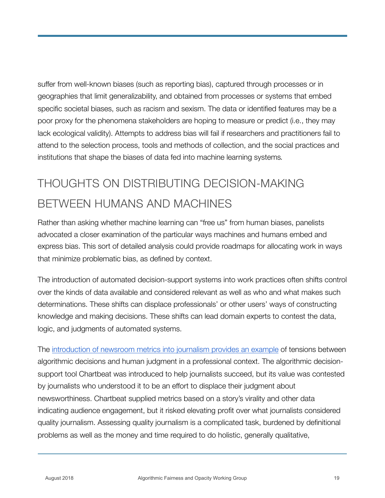suffer from well-known biases (such as reporting bias), captured through processes or in geographies that limit generalizability, and obtained from processes or systems that embed specific societal biases, such as racism and sexism. The data or identified features may be a poor proxy for the phenomena stakeholders are hoping to measure or predict (i.e., they may lack ecological validity). Attempts to address bias will fail if researchers and practitioners fail to attend to the selection process, tools and methods of collection, and the social practices and institutions that shape the biases of data fed into machine learning systems*.*

## THOUGHTS ON DISTRIBUTING DECISION-MAKING BETWEEN HUMANS AND MACHINES

Rather than asking whether machine learning can "free us" from human biases, panelists advocated a closer examination of the particular ways machines and humans embed and express bias. This sort of detailed analysis could provide roadmaps for allocating work in ways that minimize problematic bias, as defined by context.

The introduction of automated decision-support systems into work practices often shifts control over the kinds of data available and considered relevant as well as who and what makes such determinations. These shifts can displace professionals' or other users' ways of constructing knowledge and making decisions. These shifts can lead domain experts to contest the data, logic, and judgments of automated systems.

The [introduction of newsroom metrics into journalism provides an example](http://journals.sagepub.com/doi/pdf/10.1177/2053951717718855) of tensions between algorithmic decisions and human judgment in a professional context. The algorithmic decisionsupport tool Chartbeat was introduced to help journalists succeed, but its value was contested by journalists who understood it to be an effort to displace their judgment about newsworthiness. Chartbeat supplied metrics based on a story's virality and other data indicating audience engagement, but it risked elevating profit over what journalists considered quality journalism. Assessing quality journalism is a complicated task, burdened by definitional problems as well as the money and time required to do holistic, generally qualitative,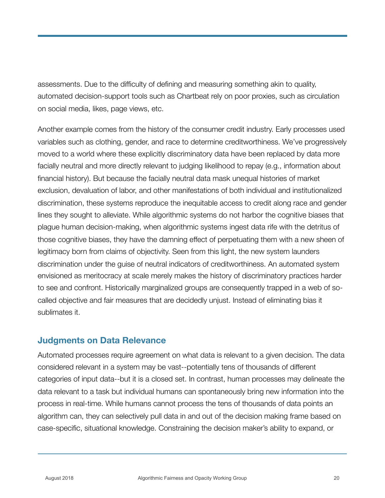assessments. Due to the difficulty of defining and measuring something akin to quality, automated decision-support tools such as Chartbeat rely on poor proxies, such as circulation on social media, likes, page views, etc.

Another example comes from the history of the consumer credit industry. Early processes used variables such as clothing, gender, and race to determine creditworthiness. We've progressively moved to a world where these explicitly discriminatory data have been replaced by data more facially neutral and more directly relevant to judging likelihood to repay (e.g., information about financial history). But because the facially neutral data mask unequal histories of market exclusion, devaluation of labor, and other manifestations of both individual and institutionalized discrimination, these systems reproduce the inequitable access to credit along race and gender lines they sought to alleviate. While algorithmic systems do not harbor the cognitive biases that plague human decision-making, when algorithmic systems ingest data rife with the detritus of those cognitive biases, they have the damning effect of perpetuating them with a new sheen of legitimacy born from claims of objectivity. Seen from this light, the new system launders discrimination under the guise of neutral indicators of creditworthiness. An automated system envisioned as meritocracy at scale merely makes the history of discriminatory practices harder to see and confront. Historically marginalized groups are consequently trapped in a web of socalled objective and fair measures that are decidedly unjust. Instead of eliminating bias it sublimates it.

#### **Judgments on Data Relevance**

Automated processes require agreement on what data is relevant to a given decision. The data considered relevant in a system may be vast--potentially tens of thousands of different categories of input data--but it is a closed set. In contrast, human processes may delineate the data relevant to a task but individual humans can spontaneously bring new information into the process in real-time. While humans cannot process the tens of thousands of data points an algorithm can, they can selectively pull data in and out of the decision making frame based on case-specific, situational knowledge. Constraining the decision maker's ability to expand, or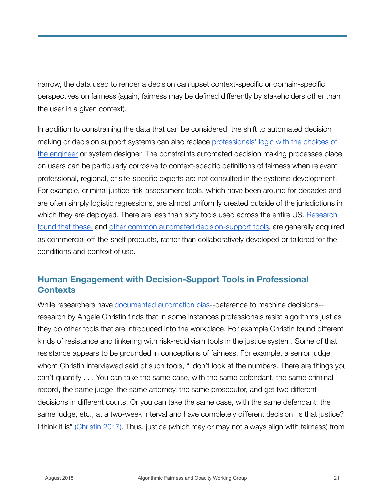narrow, the data used to render a decision can upset context-specific or domain-specific perspectives on fairness (again, fairness may be defined differently by stakeholders other than the user in a given context).

In addition to constraining the data that can be considered, the shift to automated decision making or decision support systems can also replace [professionals' logic with the choices of](https://openscholarship.wustl.edu/cgi/viewcontent.cgi?article=1166&context=law_lawreview)  [the engineer](https://openscholarship.wustl.edu/cgi/viewcontent.cgi?article=1166&context=law_lawreview) or system designer. The constraints automated decision making processes place on users can be particularly corrosive to context-specific definitions of fairness when relevant professional, regional, or site-specific experts are not consulted in the systems development. For example, criminal justice risk-assessment tools, which have been around for decades and are often simply logistic regressions, are almost uniformly created outside of the jurisdictions in which they are deployed. There are less than sixty tools used across the entire US. [Research](https://yjolt.org/sites/default/files/20_yale_j._l._tech._103.pdf)  [found that these,](https://yjolt.org/sites/default/files/20_yale_j._l._tech._103.pdf) and [other common automated decision-support tools,](http://www.datacivilrights.org/pubs/2015-1027/Courts_and_Predictive_Algorithms.pdf) are generally acquired as commercial off-the-shelf products, rather than collaboratively developed or tailored for the conditions and context of use.

#### **Human Engagement with Decision-Support Tools in Professional Contexts**

While researchers have [documented automation bias-](https://watermark.silverchair.com/19-1-121.pdf?token=AQECAHi208BE49Ooan9kkhW_Ercy7Dm3ZL_9Cf3qfKAc485ysgAAAa0wggGpBgkqhkiG9w0BBwagggGaMIIBlgIBADCCAY8GCSqGSIb3DQEHATAeBglghkgBZQMEAS4wEQQMTbY-9l9LwgdtZG2dAgEQgIIBYEYqULBKhEVFgjgioZ4mKxkOh5HAu8CfgVKD_SxT5tQfTpsApGWAoOl3uDn9Mx7-WL8hDBy2GGFc3rg1RQzC9oeWN2ZLgD2F2mC7ktKFk4YRnpHiaTzYb_f2RC8qx09xZ0qUZR05TaDkIlPm2jyVJj8fLU7rrcq5TaiviXlCUhGkcALWS2ErO_76SFBzrvhcy8G8l4SB0LSAerUq2-gu6mkulooIuHWJRZ6KXGI-T3YZOPZrbC2thQbQV-eQyLUDBWXTBJIAzCENiTYTyIx6ugZJ-JUtGSpztkj_z9Kj-pob0YiGPecPPkCOA3eBIkJ31vBqnLoU7PQDdTA4KmS8xpf4mgywKWaoxRkAngiY_wCu3XWaAcjK-yp0CI5OXbsjwuc7UO8zCq1rSpGH-3PwL8vgxrKvczAjIFwAjqWFMPLSBGb7DrUK2HeOytgoisY1Aq74lE2SxPwr89GaA4x8PT8)-deference to machine decisions- research by Angele Christin finds that in some instances professionals resist algorithms just as they do other tools that are introduced into the workplace. For example Christin found different kinds of resistance and tinkering with risk-recidivism tools in the justice system. Some of that resistance appears to be grounded in conceptions of fairness. For example, a senior judge whom Christin interviewed said of such tools, "I don't look at the numbers. There are things you can't quantify . . . You can take the same case, with the same defendant, the same criminal record, the same judge, the same attorney, the same prosecutor, and get two different decisions in different courts. Or you can take the same case, with the same defendant, the same judge, etc., at a two-week interval and have completely different decision. Is that justice? I think it is" [\(Christin 2017\).](http://journals.sagepub.com/eprint/SPgDYyisV8mAJn4fm7Xi/full) Thus, justice (which may or may not always align with fairness) from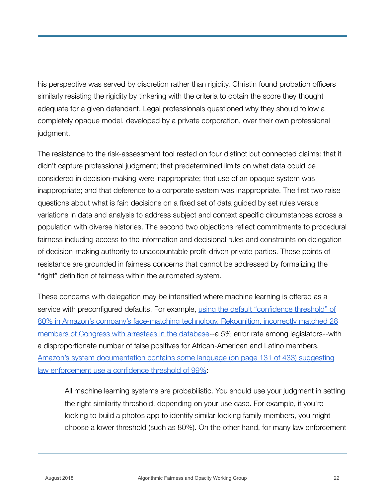his perspective was served by discretion rather than rigidity. Christin found probation officers similarly resisting the rigidity by tinkering with the criteria to obtain the score they thought adequate for a given defendant. Legal professionals questioned why they should follow a completely opaque model, developed by a private corporation, over their own professional judgment.

The resistance to the risk-assessment tool rested on four distinct but connected claims: that it didn't capture professional judgment; that predetermined limits on what data could be considered in decision-making were inappropriate; that use of an opaque system was inappropriate; and that deference to a corporate system was inappropriate. The first two raise questions about what is fair: decisions on a fixed set of data guided by set rules versus variations in data and analysis to address subject and context specific circumstances across a population with diverse histories. The second two objections reflect commitments to procedural fairness including access to the information and decisional rules and constraints on delegation of decision-making authority to unaccountable profit-driven private parties. These points of resistance are grounded in fairness concerns that cannot be addressed by formalizing the "right" definition of fairness within the automated system.

These concerns with delegation may be intensified where machine learning is offered as a service with preconfigured defaults. For example, [using the default "confidence threshold" of](https://www.nytimes.com/2018/07/26/technology/amazon-aclu-facial-recognition-congress.html)  [80% in Amazon's company's face-matching technology, Rekognition, incorrectly matched 28](https://www.nytimes.com/2018/07/26/technology/amazon-aclu-facial-recognition-congress.html)  [members of Congress with arrestees in the database-](https://www.nytimes.com/2018/07/26/technology/amazon-aclu-facial-recognition-congress.html)-a 5% error rate among legislators--with a disproportionate number of false positives for African-American and Latino members. [Amazon's system documentation contains some language \(on page 131 of 433\) suggesting](https://docs.aws.amazon.com/rekognition/latest/dg/rekognition-dg.pdf)  [law enforcement use a confidence threshold of 99%](https://docs.aws.amazon.com/rekognition/latest/dg/rekognition-dg.pdf):

All machine learning systems are probabilistic. You should use your judgment in setting the right similarity threshold, depending on your use case. For example, if you're looking to build a photos app to identify similar-looking family members, you might choose a lower threshold (such as 80%). On the other hand, for many law enforcement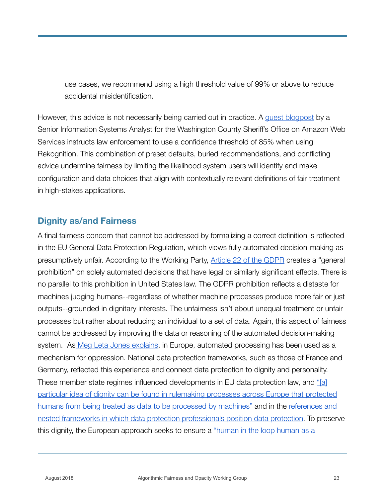use cases, we recommend using a high threshold value of 99% or above to reduce accidental misidentification.

However, this advice is not necessarily being carried out in practice. A [guest blogpost](https://aws.amazon.com/blogs/machine-learning/using-amazon-rekognition-to-identify-persons-of-interest-for-law-enforcement/) by a Senior Information Systems Analyst for the Washington County Sheriff's Office on Amazon Web Services instructs law enforcement to use a confidence threshold of 85% when using Rekognition. This combination of preset defaults, buried recommendations, and conflicting advice undermine fairness by limiting the likelihood system users will identify and make configuration and data choices that align with contextually relevant definitions of fair treatment in high-stakes applications.

#### **Dignity as/and Fairness**

A final fairness concern that cannot be addressed by formalizing a correct definition is reflected in the EU General Data Protection Regulation, which views fully automated decision-making as presumptively unfair. According to the Working Party, [Article 22 of the GDPR](https://eur-lex.europa.eu/legal-content/EN/TXT/PDF/?uri=CELEX:02016R0679-20160504&from=EN) creates a "general prohibition" on solely automated decisions that have legal or similarly significant effects. There is no parallel to this prohibition in United States law. The GDPR prohibition reflects a distaste for machines judging humans--regardless of whether machine processes produce more fair or just outputs--grounded in dignitary interests. The unfairness isn't about unequal treatment or unfair processes but rather about reducing an individual to a set of data. Again, this aspect of fairness cannot be addressed by improving the data or reasoning of the automated decision-making system. A[s Meg Leta Jones explains,](http://journals.sagepub.com/doi/abs/10.1177/0306312717699716) in Europe, automated processing has been used as a mechanism for oppression. National data protection frameworks, such as those of France and Germany, reflected this experience and connect data protection to dignity and personality. These member state regimes influenced developments in EU data protection law, and ["\[a\]](http://journals.sagepub.com/doi/abs/10.1177/0306312717699716)  [particular idea of dignity can be found in rulemaking processes across Europe that protected](http://journals.sagepub.com/doi/abs/10.1177/0306312717699716)  [humans from being treated as data to be processed by machines"](http://journals.sagepub.com/doi/abs/10.1177/0306312717699716) and in the [references and](https://books.google.com/books?hl=en&lr=&id=OtXaCgAAQBAJ&oi=fnd&pg=PR7&dq=privacy+on+the+ground&ots=YtL7STqMaM&sig=ip9xTtdB3BB3RelO-q5-e6Nfmmo#v=onepage&q=privacy%20on%20the%20ground&f=false)  [nested frameworks in which data protection professionals position data protection](https://books.google.com/books?hl=en&lr=&id=OtXaCgAAQBAJ&oi=fnd&pg=PR7&dq=privacy+on+the+ground&ots=YtL7STqMaM&sig=ip9xTtdB3BB3RelO-q5-e6Nfmmo#v=onepage&q=privacy%20on%20the%20ground&f=false). To preserve this dignity, the European approach seeks to ensure a ["human in the loop human as a](http://journals.sagepub.com/doi/abs/10.1177/0306312717699716)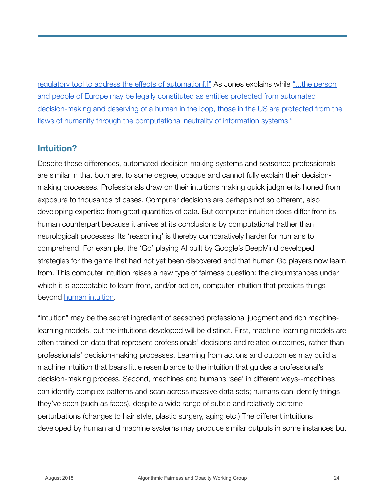[regulatory tool to address the effects of automation\[.\]"](http://journals.sagepub.com/doi/abs/10.1177/0306312717699716) As Jones explains while ["...the person](http://journals.sagepub.com/doi/abs/10.1177/0306312717699716)  [and people of Europe may be legally constituted as entities protected from automated](http://journals.sagepub.com/doi/abs/10.1177/0306312717699716)  [decision-making and deserving of a human in the loop, those in the US are protected from the](http://journals.sagepub.com/doi/abs/10.1177/0306312717699716)  [flaws of humanity through the computational neutrality of information systems."](http://journals.sagepub.com/doi/abs/10.1177/0306312717699716)

#### **Intuition?**

Despite these differences, automated decision-making systems and seasoned professionals are similar in that both are, to some degree, opaque and cannot fully explain their decisionmaking processes. Professionals draw on their intuitions making quick judgments honed from exposure to thousands of cases. Computer decisions are perhaps not so different, also developing expertise from great quantities of data. But computer intuition does differ from its human counterpart because it arrives at its conclusions by computational (rather than neurological) processes. Its 'reasoning' is thereby comparatively harder for humans to comprehend. For example, the 'Go' playing AI built by Google's DeepMind developed strategies for the game that had not yet been discovered and that human Go players now learn from. This computer intuition raises a new type of fairness question: the circumstances under which it is acceptable to learn from, and/or act on, computer intuition that predicts things beyond [human intuition.](https://poseidon01.ssrn.com/delivery.php?ID=826070013069089113091014015002125026118004050083020091078111083112125067089113084102096048123000045063041006069097097022084024019076007034050100000113079071006082072053079042111000069082103030001104067066117087076008110018013125122006013092004113002122&EXT=pdf)

"Intuition" may be the secret ingredient of seasoned professional judgment and rich machinelearning models, but the intuitions developed will be distinct. First, machine-learning models are often trained on data that represent professionals' decisions and related outcomes, rather than professionals' decision-making processes. Learning from actions and outcomes may build a machine intuition that bears little resemblance to the intuition that guides a professional's decision-making process. Second, machines and humans 'see' in different ways--machines can identify complex patterns and scan across massive data sets; humans can identify things they've seen (such as faces), despite a wide range of subtle and relatively extreme perturbations (changes to hair style, plastic surgery, aging etc.) The different intuitions developed by human and machine systems may produce similar outputs in some instances but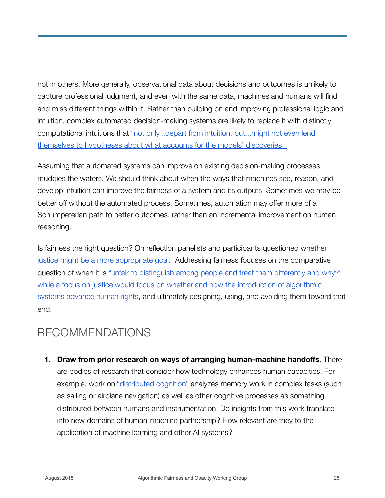not in others. More generally, observational data about decisions and outcomes is unlikely to capture professional judgment, and even with the same data, machines and humans will find and miss different things within it. Rather than building on and improving professional logic and intuition, complex automated decision-making systems are likely to replace it with distinctly computational intuitions that ["not only...depart from intuition, but...might not even lend](https://poseidon01.ssrn.com/delivery.php?ID=826070013069089113091014015002125026118004050083020091078111083112125067089113084102096048123000045063041006069097097022084024019076007034050100000113079071006082072053079042111000069082103030001104067066117087076008110018013125122006013092004113002122&EXT=pdf)  [themselves to hypotheses about what accounts for the models' discoveries."](https://poseidon01.ssrn.com/delivery.php?ID=826070013069089113091014015002125026118004050083020091078111083112125067089113084102096048123000045063041006069097097022084024019076007034050100000113079071006082072053079042111000069082103030001104067066117087076008110018013125122006013092004113002122&EXT=pdf)

Assuming that automated systems can improve on existing decision-making processes muddies the waters. We should think about when the ways that machines see, reason, and develop intuition can improve the fairness of a system and its outputs. Sometimes we may be better off without the automated process. Sometimes, automation may offer more of a Schumpeterian path to better outcomes, rather than an incremental improvement on human reasoning.

Is fairness the right question? On reflection panelists and participants questioned whether [justice might be a more appropriate goal](https://www.youtube.com/watch?v=qomsX8ZvvIY). Addressing fairness focuses on the comparative question of when it is "unfair to distinguish among people and treat them differently and why?" [while a focus on justice would focus on whether and how the introduction of algorithmic](https://www.youtube.com/watch?v=qomsX8ZvvIY)  [systems advance human rights](https://www.youtube.com/watch?v=qomsX8ZvvIY), and ultimately designing, using, and avoiding them toward that end.

#### RECOMMENDATIONS

**1. Draw from prior research on ways of arranging human-machine handoffs**. There are bodies of research that consider how technology enhances human capacities. For example, work on "[distributed cognition"](http://hci.ucsd.edu/102a/readings/cockpit-cog.pdf) analyzes memory work in complex tasks (such as sailing or airplane navigation) as well as other cognitive processes as something distributed between humans and instrumentation. Do insights from this work translate into new domains of human-machine partnership? How relevant are they to the application of machine learning and other AI systems?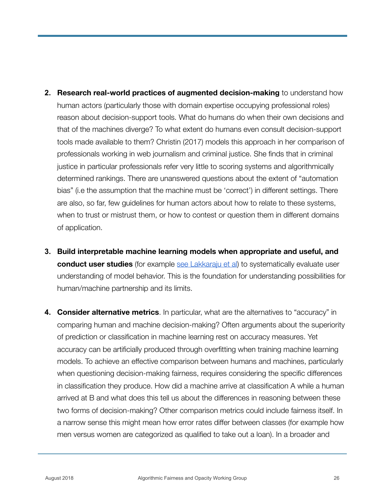- **2. Research real-world practices of augmented decision-making** to understand how human actors (particularly those with domain expertise occupying professional roles) reason about decision-support tools. What do humans do when their own decisions and that of the machines diverge? To what extent do humans even consult decision-support tools made available to them? Christin (2017) models this approach in her comparison of professionals working in web journalism and criminal justice. She finds that in criminal justice in particular professionals refer very little to scoring systems and algorithmically determined rankings. There are unanswered questions about the extent of "automation bias" (i.e the assumption that the machine must be 'correct') in different settings. There are also, so far, few guidelines for human actors about how to relate to these systems, when to trust or mistrust them, or how to contest or question them in different domains of application.
- **3. Build interpretable machine learning models when appropriate and useful, and conduct user studies** (for example [see Lakkaraju et al\)](https://arxiv.org/abs/1707.01154) to systematically evaluate user understanding of model behavior. This is the foundation for understanding possibilities for human/machine partnership and its limits.
- **4. Consider alternative metrics**. In particular, what are the alternatives to "accuracy" in comparing human and machine decision-making? Often arguments about the superiority of prediction or classification in machine learning rest on accuracy measures. Yet accuracy can be artificially produced through overfitting when training machine learning models. To achieve an effective comparison between humans and machines, particularly when questioning decision-making fairness, requires considering the specific differences in classification they produce. How did a machine arrive at classification A while a human arrived at B and what does this tell us about the differences in reasoning between these two forms of decision-making? Other comparison metrics could include fairness itself. In a narrow sense this might mean how error rates differ between classes (for example how men versus women are categorized as qualified to take out a loan). In a broader and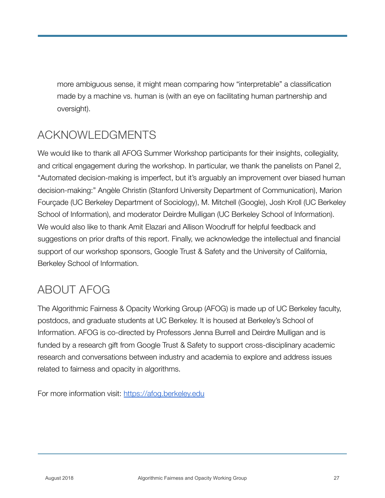more ambiguous sense, it might mean comparing how "interpretable" a classification made by a machine vs. human is (with an eye on facilitating human partnership and oversight).

## ACKNOWLEDGMENTS

We would like to thank all AFOG Summer Workshop participants for their insights, collegiality, and critical engagement during the workshop. In particular, we thank the panelists on Panel 2, "Automated decision-making is imperfect, but it's arguably an improvement over biased human decision-making:" Angèle Christin (Stanford University Department of Communication), Marion Fourçade (UC Berkeley Department of Sociology), M. Mitchell (Google), Josh Kroll (UC Berkeley School of Information), and moderator Deirdre Mulligan (UC Berkeley School of Information). We would also like to thank Amit Elazari and Allison Woodruff for helpful feedback and suggestions on prior drafts of this report. Finally, we acknowledge the intellectual and financial support of our workshop sponsors, Google Trust & Safety and the University of California, Berkeley School of Information.

#### ABOUT AFOG

The Algorithmic Fairness & Opacity Working Group (AFOG) is made up of UC Berkeley faculty, postdocs, and graduate students at UC Berkeley. It is housed at Berkeley's School of Information. AFOG is co-directed by Professors Jenna Burrell and Deirdre Mulligan and is funded by a research gift from Google Trust & Safety to support cross-disciplinary academic research and conversations between industry and academia to explore and address issues related to fairness and opacity in algorithms.

For more information visit: <https://afog.berkeley.edu>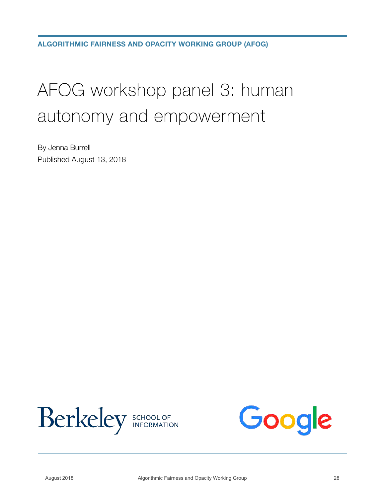## AFOG workshop panel 3: human autonomy and empowerment

By Jenna Burrell Published August 13, 2018



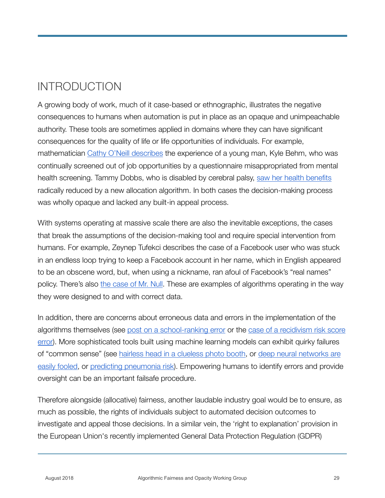## INTRODUCTION

A growing body of work, much of it case-based or ethnographic, illustrates the negative consequences to humans when automation is put in place as an opaque and unimpeachable authority. These tools are sometimes applied in domains where they can have significant consequences for the quality of life or life opportunities of individuals. For example, mathematician [Cathy O'Neill describes](https://www.theguardian.com/science/2016/sep/01/how-algorithms-rule-our-working-lives) the experience of a young man, Kyle Behm, who was continually screened out of job opportunities by a questionnaire misappropriated from mental health screening. Tammy Dobbs, who is disabled by cerebral palsy, [saw her health benefits](https://www.theverge.com/2018/3/21/17144260/healthcare-medicaid-algorithm-arkansas-cerebral-palsy) radically reduced by a new allocation algorithm. In both cases the decision-making process was wholly opaque and lacked any built-in appeal process.

With systems operating at massive scale there are also the inevitable exceptions, the cases that break the assumptions of the decision-making tool and require special intervention from humans. For example, Zeynep Tufekci describes the case of a Facebook user who was stuck in an endless loop trying to keep a Facebook account in her name, which in English appeared to be an obscene word, but, when using a nickname, ran afoul of Facebook's "real names" policy. There's also [the case of Mr. Null.](https://www.wired.com/2015/11/null/) These are examples of algorithms operating in the way they were designed to and with correct data.

In addition, there are concerns about erroneous data and errors in the implementation of the algorithms themselves (see [post on a school-ranking error](https://mathbabe.org/2017/06/19/guest-post-quatama-elementary/) or the [case of a recidivism risk score](https://washingtonmonthly.com/magazine/junejulyaugust-2017/code-of-silence/)  [error](https://washingtonmonthly.com/magazine/junejulyaugust-2017/code-of-silence/)). More sophisticated tools built using machine learning models can exhibit quirky failures of "common sense" (see [hairless head in a clueless photo booth](https://www.nytimes.com/2015/07/19/your-money/hairless-head-in-a-clueless-photo-booth.html), or [deep neural networks are](https://arxiv.org/abs/1412.1897)  [easily fooled](https://arxiv.org/abs/1412.1897), or [predicting pneumonia risk\)](http://people.dbmi.columbia.edu/noemie/papers/15kdd.pdf). Empowering humans to identify errors and provide oversight can be an important failsafe procedure.

Therefore alongside (allocative) fairness, another laudable industry goal would be to ensure, as much as possible, the rights of individuals subject to automated decision outcomes to investigate and appeal those decisions. In a similar vein, the 'right to explanation' provision in the European Union's recently implemented General Data Protection Regulation (GDPR)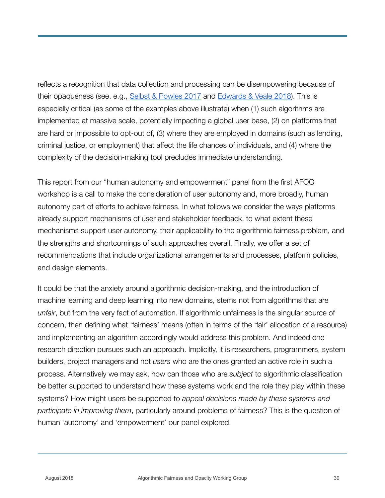reflects a recognition that data collection and processing can be disempowering because of their opaqueness (see, e.g., [Selbst & Powles 2017](https://academic.oup.com/idpl/article/7/4/233/4762325) and [Edwards & Veale 2018](https://papers.ssrn.com/sol3/papers.cfm?abstract_id=3052831)). This is especially critical (as some of the examples above illustrate) when (1) such algorithms are implemented at massive scale, potentially impacting a global user base, (2) on platforms that are hard or impossible to opt-out of, (3) where they are employed in domains (such as lending, criminal justice, or employment) that affect the life chances of individuals, and (4) where the complexity of the decision-making tool precludes immediate understanding.

This report from our "human autonomy and empowerment" panel from the first AFOG workshop is a call to make the consideration of user autonomy and, more broadly, human autonomy part of efforts to achieve fairness. In what follows we consider the ways platforms already support mechanisms of user and stakeholder feedback, to what extent these mechanisms support user autonomy, their applicability to the algorithmic fairness problem, and the strengths and shortcomings of such approaches overall. Finally, we offer a set of recommendations that include organizational arrangements and processes, platform policies, and design elements.

It could be that the anxiety around algorithmic decision-making, and the introduction of machine learning and deep learning into new domains, stems not from algorithms that are *unfair*, but from the very fact of automation. If algorithmic unfairness is the singular source of concern, then defining what 'fairness' means (often in terms of the 'fair' allocation of a resource) and implementing an algorithm accordingly would address this problem. And indeed one research direction pursues such an approach. Implicitly, it is researchers, programmers, system builders, project managers and not *users* who are the ones granted an active role in such a process. Alternatively we may ask, how can those who are *subject* to algorithmic classification be better supported to understand how these systems work and the role they play within these systems? How might users be supported to *appeal decisions made by these systems and participate in improving them*, particularly around problems of fairness? This is the question of human 'autonomy' and 'empowerment' our panel explored.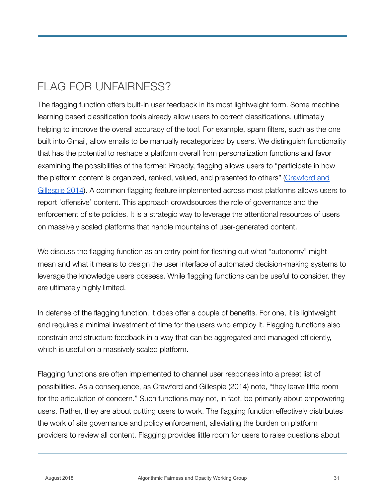## FLAG FOR UNFAIRNESS?

The flagging function offers built-in user feedback in its most lightweight form. Some machine learning based classification tools already allow users to correct classifications, ultimately helping to improve the overall accuracy of the tool. For example, spam filters, such as the one built into Gmail, allow emails to be manually recategorized by users. We distinguish functionality that has the potential to reshape a platform overall from personalization functions and favor examining the possibilities of the former. Broadly, flagging allows users to "participate in how the platform content is organized, ranked, valued, and presented to others" ([Crawford and](http://journals.sagepub.com/doi/abs/10.1177/1461444814543163)  [Gillespie 2014\)](http://journals.sagepub.com/doi/abs/10.1177/1461444814543163). A common flagging feature implemented across most platforms allows users to report 'offensive' content. This approach crowdsources the role of governance and the enforcement of site policies. It is a strategic way to leverage the attentional resources of users on massively scaled platforms that handle mountains of user-generated content.

We discuss the flagging function as an entry point for fleshing out what "autonomy" might mean and what it means to design the user interface of automated decision-making systems to leverage the knowledge users possess. While flagging functions can be useful to consider, they are ultimately highly limited.

In defense of the flagging function, it does offer a couple of benefits. For one, it is lightweight and requires a minimal investment of time for the users who employ it. Flagging functions also constrain and structure feedback in a way that can be aggregated and managed efficiently, which is useful on a massively scaled platform.

Flagging functions are often implemented to channel user responses into a preset list of possibilities. As a consequence, as Crawford and Gillespie (2014) note, "they leave little room for the articulation of concern." Such functions may not, in fact, be primarily about empowering users. Rather, they are about putting users to work. The flagging function effectively distributes the work of site governance and policy enforcement, alleviating the burden on platform providers to review all content. Flagging provides little room for users to raise questions about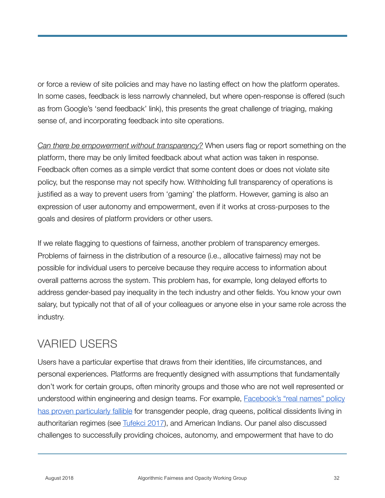or force a review of site policies and may have no lasting effect on how the platform operates. In some cases, feedback is less narrowly channeled, but where open-response is offered (such as from Google's 'send feedback' link), this presents the great challenge of triaging, making sense of, and incorporating feedback into site operations.

*Can there be empowerment without transparency?* When users flag or report something on the platform, there may be only limited feedback about what action was taken in response. Feedback often comes as a simple verdict that some content does or does not violate site policy, but the response may not specify how. Withholding full transparency of operations is justified as a way to prevent users from 'gaming' the platform. However, gaming is also an expression of user autonomy and empowerment, even if it works at cross-purposes to the goals and desires of platform providers or other users.

If we relate flagging to questions of fairness, another problem of transparency emerges. Problems of fairness in the distribution of a resource (i.e., allocative fairness) may not be possible for individual users to perceive because they require access to information about overall patterns across the system. This problem has, for example, long delayed efforts to address gender-based pay inequality in the tech industry and other fields. You know your own salary, but typically not that of all of your colleagues or anyone else in your same role across the industry.

#### VARIED USERS

Users have a particular expertise that draws from their identities, life circumstances, and personal experiences. Platforms are frequently designed with assumptions that fundamentally don't work for certain groups, often minority groups and those who are not well represented or understood within engineering and design teams. For example, [Facebook's "real names" policy](https://www.eff.org/document/open-letter-facebook-about-its-real-names-policy)  [has proven particularly fallible](https://www.eff.org/document/open-letter-facebook-about-its-real-names-policy) for transgender people, drag queens, political dissidents living in authoritarian regimes (see [Tufekci 2017](https://yalebooks.yale.edu/book/9780300215120/twitter-and-tear-gas)), and American Indians. Our panel also discussed challenges to successfully providing choices, autonomy, and empowerment that have to do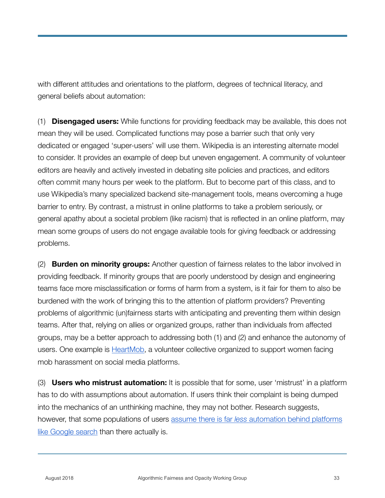with different attitudes and orientations to the platform, degrees of technical literacy, and general beliefs about automation:

(1) **Disengaged users:** While functions for providing feedback may be available, this does not mean they will be used. Complicated functions may pose a barrier such that only very dedicated or engaged 'super-users' will use them. Wikipedia is an interesting alternate model to consider. It provides an example of deep but uneven engagement. A community of volunteer editors are heavily and actively invested in debating site policies and practices, and editors often commit many hours per week to the platform. But to become part of this class, and to use Wikipedia's many specialized backend site-management tools, means overcoming a huge barrier to entry. By contrast, a mistrust in online platforms to take a problem seriously, or general apathy about a societal problem (like racism) that is reflected in an online platform, may mean some groups of users do not engage available tools for giving feedback or addressing problems.

(2) **Burden on minority groups:** Another question of fairness relates to the labor involved in providing feedback. If minority groups that are poorly understood by design and engineering teams face more misclassification or forms of harm from a system, is it fair for them to also be burdened with the work of bringing this to the attention of platform providers? Preventing problems of algorithmic (un)fairness starts with anticipating and preventing them within design teams. After that, relying on allies or organized groups, rather than individuals from affected groups, may be a better approach to addressing both (1) and (2) and enhance the autonomy of users. One example is [HeartMob](https://iheartmob.org/), a volunteer collective organized to support women facing mob harassment on social media platforms.

(3) **Users who mistrust automation:** It is possible that for some, user 'mistrust' in a platform has to do with assumptions about automation. If users think their complaint is being dumped into the mechanics of an unthinking machine, they may not bother. Research suggests, however, that some populations of users assume there is far *less* [automation behind platforms](https://www.usenix.org/conference/soups2016/technical-sessions/presentation/warshaw)  [like Google search](https://www.usenix.org/conference/soups2016/technical-sessions/presentation/warshaw) than there actually is.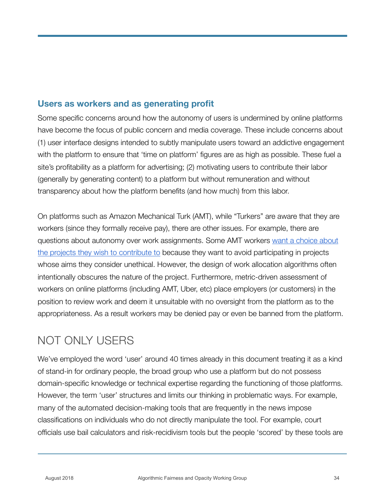#### **Users as workers and as generating profit**

Some specific concerns around how the autonomy of users is undermined by online platforms have become the focus of public concern and media coverage. These include concerns about (1) user interface designs intended to subtly manipulate users toward an addictive engagement with the platform to ensure that 'time on platform' figures are as high as possible. These fuel a site's profitability as a platform for advertising; (2) motivating users to contribute their labor (generally by generating content) to a platform but without remuneration and without transparency about how the platform benefits (and how much) from this labor.

On platforms such as Amazon Mechanical Turk (AMT), while "Turkers" are aware that they are workers (since they formally receive pay), there are other issues. For example, there are questions about autonomy over work assignments. Some AMT workers [want a choice about](http://crowdsourcing-class.org/readings/downloads/ethics/web-workers-unite.pdf)  [the projects they wish to contribute to](http://crowdsourcing-class.org/readings/downloads/ethics/web-workers-unite.pdf) because they want to avoid participating in projects whose aims they consider unethical. However, the design of work allocation algorithms often intentionally obscures the nature of the project. Furthermore, metric-driven assessment of workers on online platforms (including AMT, Uber, etc) place employers (or customers) in the position to review work and deem it unsuitable with no oversight from the platform as to the appropriateness. As a result workers may be denied pay or even be banned from the platform.

#### NOT ONLY USERS

We've employed the word 'user' around 40 times already in this document treating it as a kind of stand-in for ordinary people, the broad group who use a platform but do not possess domain-specific knowledge or technical expertise regarding the functioning of those platforms. However, the term 'user' structures and limits our thinking in problematic ways. For example, many of the automated decision-making tools that are frequently in the news impose classifications on individuals who do not directly manipulate the tool. For example, court officials use bail calculators and risk-recidivism tools but the people 'scored' by these tools are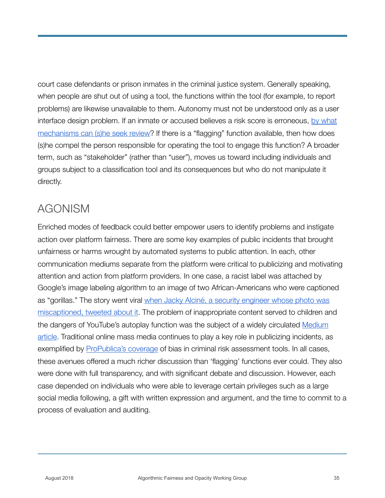court case defendants or prison inmates in the criminal justice system. Generally speaking, when people are shut out of using a tool, the functions within the tool (for example, to report problems) are likewise unavailable to them. Autonomy must not be understood only as a user interface design problem. If an inmate or accused believes a risk score is erroneous, by what [mechanisms can \(s\)he seek review?](https://washingtonmonthly.com/magazine/junejulyaugust-2017/code-of-silence/) If there is a "flagging" function available, then how does (s)he compel the person responsible for operating the tool to engage this function? A broader term, such as "stakeholder" (rather than "user"), moves us toward including individuals and groups subject to a classification tool and its consequences but who do not manipulate it directly.

#### AGONISM

Enriched modes of feedback could better empower users to identify problems and instigate action over platform fairness. There are some key examples of public incidents that brought unfairness or harms wrought by automated systems to public attention. In each, other communication mediums separate from the platform were critical to publicizing and motivating attention and action from platform providers. In one case, a racist label was attached by Google's image labeling algorithm to an image of two African-Americans who were captioned as "gorillas." The story went viral when Jacky Alciné, a security engineer whose photo was [miscaptioned, tweeted about it.](https://twitter.com/jackyalcine/status/615329515909156865) The problem of inappropriate content served to children and the dangers of YouTube's autoplay function was the subject of a widely circulated [Medium](https://medium.com/@jamesbridle/something-is-wrong-on-the-internet-c39c471271d2)  [article](https://medium.com/@jamesbridle/something-is-wrong-on-the-internet-c39c471271d2). Traditional online mass media continues to play a key role in publicizing incidents, as exemplified by [ProPublica's coverage](https://www.propublica.org/article/machine-bias-risk-assessments-in-criminal-sentencing) of bias in criminal risk assessment tools. In all cases, these avenues offered a much richer discussion than 'flagging' functions ever could. They also were done with full transparency, and with significant debate and discussion. However, each case depended on individuals who were able to leverage certain privileges such as a large social media following, a gift with written expression and argument, and the time to commit to a process of evaluation and auditing.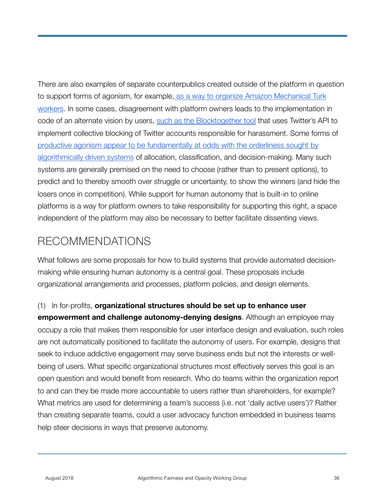There are also examples of separate counterpublics created outside of the platform in question to support forms of agonism, for example[, as a way to organize Amazon Mechanical Turk](http://hci.stanford.edu/publications/2015/dynamo/DynamoCHI2015.pdf)  [workers](http://hci.stanford.edu/publications/2015/dynamo/DynamoCHI2015.pdf). In some cases, disagreement with platform owners leads to the implementation in code of an alternate vision by users, [such as the Blocktogether tool](https://blocktogether.org/) that uses Twitter's API to implement collective blocking of Twitter accounts responsible for harassment. Some forms of [productive agonism appear to be fundamentally at odds with the orderliness sought by](http://www.katecrawford.net/docs/CanAnAlgorithmBeAgonistic-April2016.pdf)  [algorithmically driven systems](http://www.katecrawford.net/docs/CanAnAlgorithmBeAgonistic-April2016.pdf) of allocation, classification, and decision-making. Many such systems are generally premised on the need to choose (rather than to present options), to predict and to thereby smooth over struggle or uncertainty, to show the winners (and hide the losers once in competition). While support for human autonomy that is built-in to online platforms is a way for platform owners to take responsibility for supporting this right, a space independent of the platform may also be necessary to better facilitate dissenting views.

#### RECOMMENDATIONS

What follows are some proposals for how to build systems that provide automated decisionmaking while ensuring human autonomy is a central goal. These proposals include organizational arrangements and processes, platform policies, and design elements.

#### (1) In for-profits, **organizational structures should be set up to enhance user**

**empowerment and challenge autonomy-denying designs**. Although an employee may occupy a role that makes them responsible for user interface design and evaluation, such roles are not automatically positioned to facilitate the autonomy of users. For example, designs that seek to induce addictive engagement may serve business ends but not the interests or wellbeing of users. What specific organizational structures most effectively serves this goal is an open question and would benefit from research. Who do teams within the organization report to and can they be made more accountable to users rather than shareholders, for example? What metrics are used for determining a team's success (i.e. not 'daily active users')? Rather than creating separate teams, could a user advocacy function embedded in business teams help steer decisions in ways that preserve autonomy.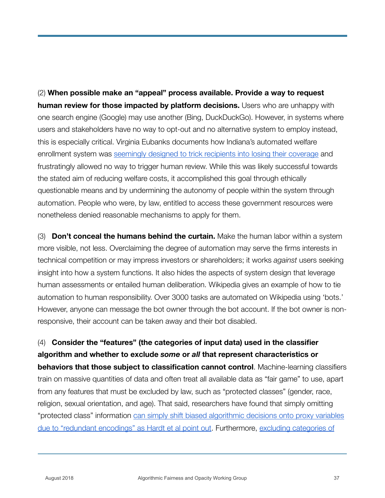(2) **When possible make an "appeal" process available. Provide a way to request human review for those impacted by platform decisions.** Users who are unhappy with one search engine (Google) may use another (Bing, DuckDuckGo). However, in systems where users and stakeholders have no way to opt-out and no alternative system to employ instead, this is especially critical. Virginia Eubanks documents how Indiana's automated welfare enrollment system was [seemingly designed to trick recipients into losing their coverage](https://www.thenation.com/article/want-cut-welfare-theres-app/) and frustratingly allowed no way to trigger human review. While this was likely successful towards the stated aim of reducing welfare costs, it accomplished this goal through ethically questionable means and by undermining the autonomy of people within the system through automation. People who were, by law, entitled to access these government resources were nonetheless denied reasonable mechanisms to apply for them.

(3) **Don't conceal the humans behind the curtain.** Make the human labor within a system more visible, not less. Overclaiming the degree of automation may serve the firms interests in technical competition or may impress investors or shareholders; it works *against* users seeking insight into how a system functions. It also hides the aspects of system design that leverage human assessments or entailed human deliberation. Wikipedia gives an example of how to tie automation to human responsibility. Over 3000 tasks are automated on Wikipedia using 'bots.' However, anyone can message the bot owner through the bot account. If the bot owner is nonresponsive, their account can be taken away and their bot disabled.

(4) **Consider the "features" (the categories of input data) used in the classifier algorithm and whether to exclude** *some* **or** *all* **that represent characteristics or behaviors that those subject to classification cannot control**. Machine-learning classifiers train on massive quantities of data and often treat all available data as "fair game" to use, apart from any features that must be excluded by law, such as "protected classes" (gender, race, religion, sexual orientation, and age). That said, researchers have found that simply omitting "protected class" information [can simply shift biased algorithmic decisions onto proxy variables](https://arxiv.org/abs/1610.02413)  [due to "redundant encodings" as Hardt et al point out](https://arxiv.org/abs/1610.02413). Furthermore, [excluding categories of](https://people.mpi-sws.org/~gummadi/papers/disparate_impact_AISTATS_2017.pdf)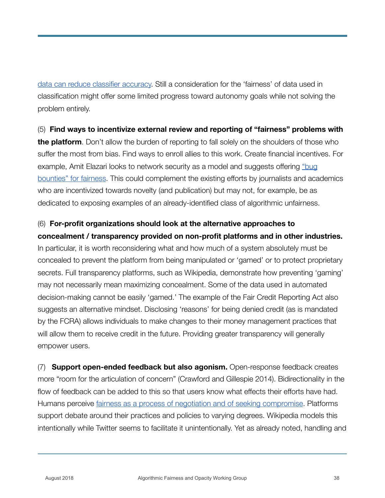[data can reduce classifier accuracy.](https://people.mpi-sws.org/~gummadi/papers/disparate_impact_AISTATS_2017.pdf) Still a consideration for the 'fairness' of data used in classification might offer some limited progress toward autonomy goals while not solving the problem entirely.

(5) **Find ways to incentivize external review and reporting of "fairness" problems with the platform**. Don't allow the burden of reporting to fall solely on the shoulders of those who suffer the most from bias. Find ways to enroll allies to this work. Create financial incentives. For example, Amit Elazari looks to network security as a model and suggests offering "bug [bounties" for fairness.](https://motherboard.vice.com/en_us/article/8xkyj3/we-need-bug-bounties-for-bad-algorithms) This could complement the existing efforts by journalists and academics who are incentivized towards novelty (and publication) but may not, for example, be as dedicated to exposing examples of an already-identified class of algorithmic unfairness.

#### (6) **For-profit organizations should look at the alternative approaches to concealment / transparency provided on non-profit platforms and in other industries.**

In particular, it is worth reconsidering what and how much of a system absolutely must be concealed to prevent the platform from being manipulated or 'gamed' or to protect proprietary secrets. Full transparency platforms, such as Wikipedia, demonstrate how preventing 'gaming' may not necessarily mean maximizing concealment. Some of the data used in automated decision-making cannot be easily 'gamed.' The example of the Fair Credit Reporting Act also suggests an alternative mindset. Disclosing 'reasons' for being denied credit (as is mandated by the FCRA) allows individuals to make changes to their money management practices that will allow them to receive credit in the future. Providing greater transparency will generally empower users.

(7) **Support open-ended feedback but also agonism.** Open-response feedback creates more "room for the articulation of concern" (Crawford and Gillespie 2014). Bidirectionality in the flow of feedback can be added to this so that users know what effects their efforts have had. Humans perceive [fairness as a process of negotiation and of seeking compromise](https://www.cs.cmu.edu/~mklee/materials/Publication/2017-CSCW-AlgorithmicMediation_Fairness.pdf). Platforms support debate around their practices and policies to varying degrees. Wikipedia models this intentionally while Twitter seems to facilitate it unintentionally. Yet as already noted, handling and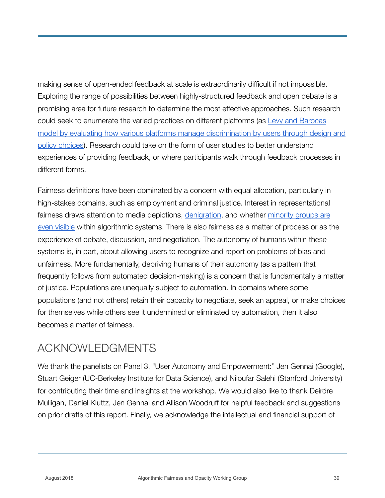making sense of open-ended feedback at scale is extraordinarily difficult if not impossible. Exploring the range of possibilities between highly-structured feedback and open debate is a promising area for future research to determine the most effective approaches. Such research could seek to enumerate the varied practices on different platforms (as [Levy and Barocas](https://papers.ssrn.com/sol3/papers.cfm?abstract_id=3084502)  [model by evaluating how various platforms manage discrimination by users through design and](https://papers.ssrn.com/sol3/papers.cfm?abstract_id=3084502)  [policy choices\)](https://papers.ssrn.com/sol3/papers.cfm?abstract_id=3084502). Research could take on the form of user studies to better understand experiences of providing feedback, or where participants walk through feedback processes in different forms.

Fairness definitions have been dominated by a concern with equal allocation, particularly in high-stakes domains, such as employment and criminal justice. Interest in representational fairness draws attention to media depictions, [denigration,](https://www.microsoft.com/en-us/research/blog/keeping-an-eye-on-ai-with-dr-kate-crawford/) and whether [minority groups are](https://www.ajlunited.org/)  [even visible](https://www.ajlunited.org/) within algorithmic systems. There is also fairness as a matter of process or as the experience of debate, discussion, and negotiation. The autonomy of humans within these systems is, in part, about allowing users to recognize and report on problems of bias and unfairness. More fundamentally, depriving humans of their autonomy (as a pattern that frequently follows from automated decision-making) is a concern that is fundamentally a matter of justice. Populations are unequally subject to automation. In domains where some populations (and not others) retain their capacity to negotiate, seek an appeal, or make choices for themselves while others see it undermined or eliminated by automation, then it also becomes a matter of fairness.

#### ACKNOWLEDGMENTS

We thank the panelists on Panel 3, "User Autonomy and Empowerment:" Jen Gennai (Google), Stuart Geiger (UC-Berkeley Institute for Data Science), and Niloufar Salehi (Stanford University) for contributing their time and insights at the workshop. We would also like to thank Deirdre Mulligan, Daniel Kluttz, Jen Gennai and Allison Woodruff for helpful feedback and suggestions on prior drafts of this report. Finally, we acknowledge the intellectual and financial support of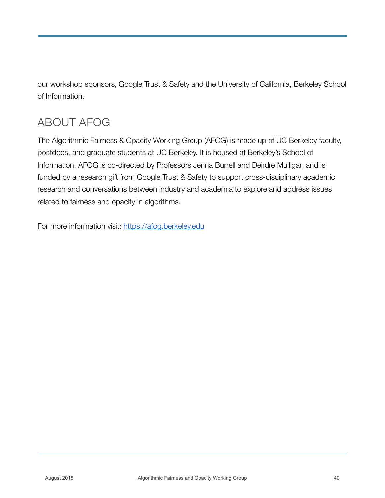our workshop sponsors, Google Trust & Safety and the University of California, Berkeley School of Information.

## ABOUT AFOG

The Algorithmic Fairness & Opacity Working Group (AFOG) is made up of UC Berkeley faculty, postdocs, and graduate students at UC Berkeley. It is housed at Berkeley's School of Information. AFOG is co-directed by Professors Jenna Burrell and Deirdre Mulligan and is funded by a research gift from Google Trust & Safety to support cross-disciplinary academic research and conversations between industry and academia to explore and address issues related to fairness and opacity in algorithms.

For more information visit: <https://afog.berkeley.edu>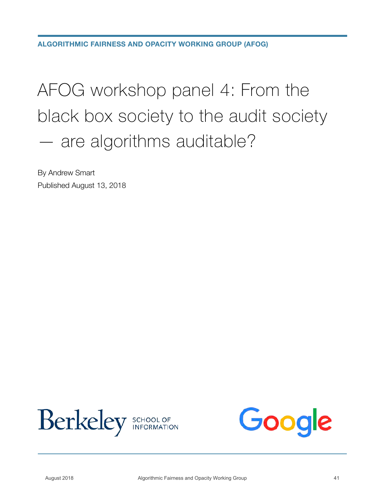**ALGORITHMIC FAIRNESS AND OPACITY WORKING GROUP (AFOG)**

## AFOG workshop panel 4: From the black box society to the audit society — are algorithms auditable?

By Andrew Smart Published August 13, 2018



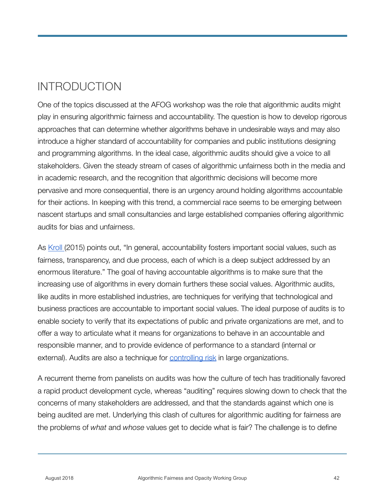## INTRODUCTION

One of the topics discussed at the AFOG workshop was the role that algorithmic audits might play in ensuring algorithmic fairness and accountability. The question is how to develop rigorous approaches that can determine whether algorithms behave in undesirable ways and may also introduce a higher standard of accountability for companies and public institutions designing and programming algorithms. In the ideal case, algorithmic audits should give a voice to all stakeholders. Given the steady stream of cases of algorithmic unfairness both in the media and in academic research, and the recognition that algorithmic decisions will become more pervasive and more consequential, there is an urgency around holding algorithms accountable for their actions. In keeping with this trend, a commercial race seems to be emerging between nascent startups and small consultancies and large established companies offering algorithmic audits for bias and unfairness.

As [Kroll](https://www.jkroll.com/papers/dissertation.pdf) (2015) points out, "In general, accountability fosters important social values, such as fairness, transparency, and due process, each of which is a deep subject addressed by an enormous literature." The goal of having accountable algorithms is to make sure that the increasing use of algorithms in every domain furthers these social values. Algorithmic audits, like audits in more established industries, are techniques for verifying that technological and business practices are accountable to important social values. The ideal purpose of audits is to enable society to verify that its expectations of public and private organizations are met, and to offer a way to articulate what it means for organizations to behave in an accountable and responsible manner, and to provide evidence of performance to a standard (internal or external). Audits are also a technique for [controlling risk](https://pdfs.semanticscholar.org/f91d/828e40ee1f7c037ef47be140435053779af5.pdf) in large organizations.

A recurrent theme from panelists on audits was how the culture of tech has traditionally favored a rapid product development cycle, whereas "auditing" requires slowing down to check that the concerns of many stakeholders are addressed, and that the standards against which one is being audited are met. Underlying this clash of cultures for algorithmic auditing for fairness are the problems of *what* and *whose* values get to decide what is fair? The challenge is to define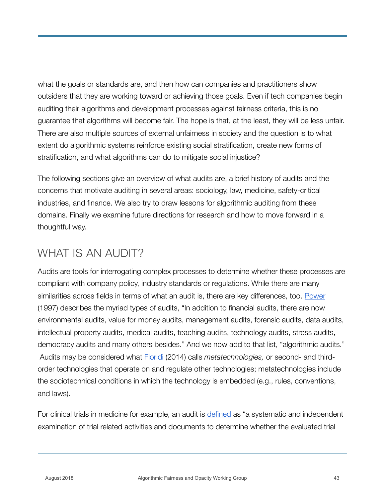what the goals or standards are, and then how can companies and practitioners show outsiders that they are working toward or achieving those goals. Even if tech companies begin auditing their algorithms and development processes against fairness criteria, this is no guarantee that algorithms will become fair. The hope is that, at the least, they will be less unfair. There are also multiple sources of external unfairness in society and the question is to what extent do algorithmic systems reinforce existing social stratification, create new forms of stratification, and what algorithms can do to mitigate social injustice?

The following sections give an overview of what audits are, a brief history of audits and the concerns that motivate auditing in several areas: sociology, law, medicine, safety-critical industries, and finance. We also try to draw lessons for algorithmic auditing from these domains. Finally we examine future directions for research and how to move forward in a thoughtful way.

#### WHAT IS AN AUDIT?

Audits are tools for interrogating complex processes to determine whether these processes are compliant with company policy, industry standards or regulations. While there are many similarities across fields in terms of what an audit is, there are key differences, too. [Power](https://www.demos.co.uk/files/theauditexplosion.pdf)  (1997) describes the myriad types of audits, "In addition to financial audits, there are now environmental audits, value for money audits, management audits, forensic audits, data audits, intellectual property audits, medical audits, teaching audits, technology audits, stress audits, democracy audits and many others besides." And we now add to that list, "algorithmic audits." Audits may be considered what [Floridi](https://global.oup.com/academic/product/the-fourth-revolution-9780199606726?cc=us&lang=en&) (2014) calls *metatechnologies,* or second- and thirdorder technologies that operate on and regulate other technologies; metatechnologies include the sociotechnical conditions in which the technology is embedded (e.g., rules, conventions, and laws).

For clinical trials in medicine for example, an audit is [defined](http://ichgcp.net/1-glossary) as "a systematic and independent examination of trial related activities and documents to determine whether the evaluated trial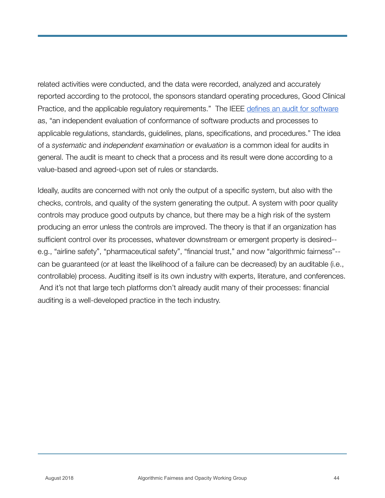related activities were conducted, and the data were recorded, analyzed and accurately reported according to the protocol, the sponsors standard operating procedures, Good Clinical Practice, and the applicable regulatory requirements." The IEEE [defines an audit for software](https://ieeexplore.ieee.org/document/4601584/)  as, "an independent evaluation of conformance of software products and processes to applicable regulations, standards, guidelines, plans, specifications, and procedures." The idea of a *systematic* and *independent examination* or *evaluation* is a common ideal for audits in general. The audit is meant to check that a process and its result were done according to a value-based and agreed-upon set of rules or standards.

Ideally, audits are concerned with not only the output of a specific system, but also with the checks, controls, and quality of the system generating the output. A system with poor quality controls may produce good outputs by chance, but there may be a high risk of the system producing an error unless the controls are improved. The theory is that if an organization has sufficient control over its processes, whatever downstream or emergent property is desired- e.g., "airline safety", "pharmaceutical safety", "financial trust," and now "algorithmic fairness"- can be guaranteed (or at least the likelihood of a failure can be decreased) by an auditable (i.e., controllable) process. Auditing itself is its own industry with experts, literature, and conferences. And it's not that large tech platforms don't already audit many of their processes: financial auditing is a well-developed practice in the tech industry.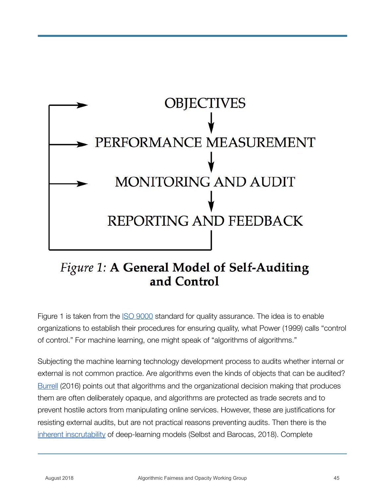

#### Figure 1: A General Model of Self-Auditing and Control

Figure 1 is taken from the [ISO 9000](https://en.wikipedia.org/wiki/ISO_9000) standard for quality assurance. The idea is to enable organizations to establish their procedures for ensuring quality, what Power (1999) calls "control of control." For machine learning, one might speak of "algorithms of algorithms."

Subjecting the machine learning technology development process to audits whether internal or external is not common practice. Are algorithms even the kinds of objects that can be audited? [Burrell](http://journals.sagepub.com/doi/abs/10.1177/2053951715622512) (2016) points out that algorithms and the organizational decision making that produces them are often deliberately opaque, and algorithms are protected as trade secrets and to prevent hostile actors from manipulating online services. However, these are justifications for resisting external audits, but are not practical reasons preventing audits. Then there is the [inherent inscrutability](https://papers.ssrn.com/sol3/papers.cfm?abstract_id=3126971) of deep-learning models (Selbst and Barocas, 2018). Complete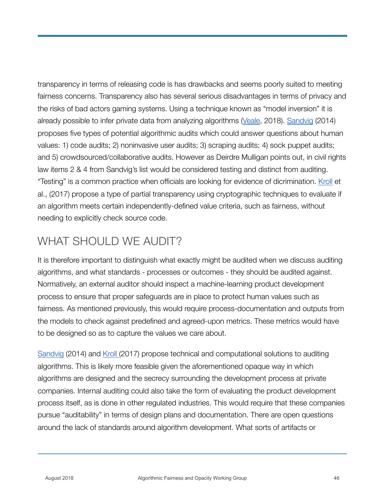transparency in terms of releasing code is has drawbacks and seems poorly suited to meeting fairness concerns. Transparency also has several serious disadvantages in terms of privacy and the risks of bad actors gaming systems. Using a technique known as "model inversion" it is already possible to infer private data from analyzing algorithms [\(Veale,](https://arxiv.org/pdf/1807.04644.pdf) 2018). [Sandvig](http://www-personal.umich.edu/~csandvig/research/Auditing%20Algorithms%20--%20Sandvig%20--%20ICA%202014%20Data%20and%20Discrimination%20Preconference.pdf) (2014) proposes five types of potential algorithmic audits which could answer questions about human values: 1) code audits; 2) noninvasive user audits; 3) scraping audits; 4) sock puppet audits; and 5) crowdsourced/collaborative audits. However as Deirdre Mulligan points out, in civil rights law items 2 & 4 from Sandvig's list would be considered testing and distinct from auditing. "Testing" is a common practice when officials are looking for evidence of dicrimination. [Kroll](https://scholarship.law.upenn.edu/cgi/viewcontent.cgi?article=9570&context=penn_law_review) et al., (2017) propose a type of partial transparency using cryptographic techniques to evaluate if an algorithm meets certain independently-defined value criteria, such as fairness, without needing to explicitly check source code.

#### WHAT SHOULD WE AUDIT?

It is therefore important to distinguish what exactly might be audited when we discuss auditing algorithms, and what standards - processes or outcomes - they should be audited against. Normatively, an external auditor should inspect a machine-learning product development process to ensure that proper safeguards are in place to protect human values such as fairness. As mentioned previously, this would require process-documentation and outputs from the models to check against predefined and agreed-upon metrics. These metrics would have to be designed so as to capture the values we care about.

[Sandvig](http://www-personal.umich.edu/~csandvig/research/Auditing%20Algorithms%20--%20Sandvig%20--%20ICA%202014%20Data%20and%20Discrimination%20Preconference.pdf) (2014) and [Kroll](https://scholarship.law.upenn.edu/cgi/viewcontent.cgi?article=9570&context=penn_law_review) (2017) propose technical and computational solutions to auditing algorithms. This is likely more feasible given the aforementioned opaque way in which algorithms are designed and the secrecy surrounding the development process at private companies. Internal auditing could also take the form of evaluating the product development process itself, as is done in other regulated industries. This would require that these companies pursue "auditability" in terms of design plans and documentation. There are open questions around the lack of standards around algorithm development. What sorts of artifacts or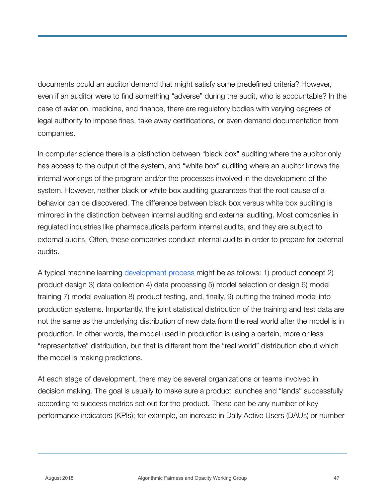documents could an auditor demand that might satisfy some predefined criteria? However, even if an auditor were to find something "adverse" during the audit, who is accountable? In the case of aviation, medicine, and finance, there are regulatory bodies with varying degrees of legal authority to impose fines, take away certifications, or even demand documentation from companies.

In computer science there is a distinction between "black box" auditing where the auditor only has access to the output of the system, and "white box" auditing where an auditor knows the internal workings of the program and/or the processes involved in the development of the system. However, neither black or white box auditing guarantees that the root cause of a behavior can be discovered. The difference between black box versus white box auditing is mirrored in the distinction between internal auditing and external auditing. Most companies in regulated industries like pharmaceuticals perform internal audits, and they are subject to external audits. Often, these companies conduct internal audits in order to prepare for external audits.

A typical machine learning [development process](https://medium.com/@yaelg/product-manager-guide-part-3-developing-a-machine-learning-model-from-start-to-finish-c3e12fd835e4) might be as follows: 1) product concept 2) product design 3) data collection 4) data processing 5) model selection or design 6) model training 7) model evaluation 8) product testing, and, finally, 9) putting the trained model into production systems. Importantly, the joint statistical distribution of the training and test data are not the same as the underlying distribution of new data from the real world after the model is in production. In other words, the model used in production is using a certain, more or less "representative" distribution, but that is different from the "real world" distribution about which the model is making predictions.

At each stage of development, there may be several organizations or teams involved in decision making. The goal is usually to make sure a product launches and "lands" successfully according to success metrics set out for the product. These can be any number of key performance indicators (KPIs); for example, an increase in Daily Active Users (DAUs) or number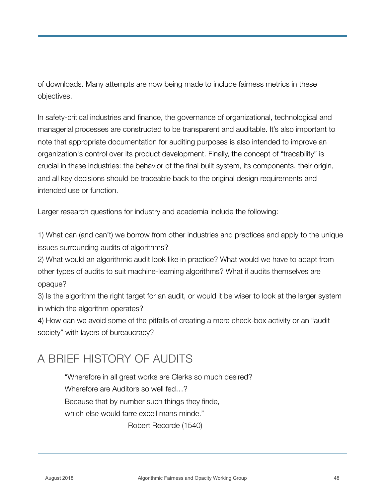of downloads. Many attempts are now being made to include fairness metrics in these objectives.

In safety-critical industries and finance, the governance of organizational, technological and managerial processes are constructed to be transparent and auditable. It's also important to note that appropriate documentation for auditing purposes is also intended to improve an organization's control over its product development. Finally, the concept of "tracability" is crucial in these industries: the behavior of the final built system, its components, their origin, and all key decisions should be traceable back to the original design requirements and intended use or function.

Larger research questions for industry and academia include the following:

1) What can (and can't) we borrow from other industries and practices and apply to the unique issues surrounding audits of algorithms?

2) What would an algorithmic audit look like in practice? What would we have to adapt from other types of audits to suit machine-learning algorithms? What if audits themselves are opaque?

3) Is the algorithm the right target for an audit, or would it be wiser to look at the larger system in which the algorithm operates?

4) How can we avoid some of the pitfalls of creating a mere check-box activity or an "audit society" with layers of bureaucracy?

#### A BRIEF HISTORY OF AUDITS

"Wherefore in all great works are Clerks so much desired? Wherefore are Auditors so well fed…? Because that by number such things they finde, which else would farre excell mans minde." Robert Recorde (1540)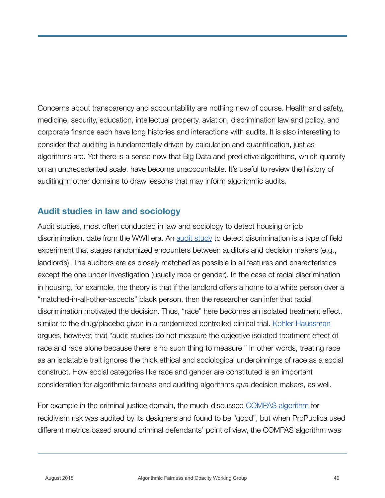Concerns about transparency and accountability are nothing new of course. Health and safety, medicine, security, education, intellectual property, aviation, discrimination law and policy, and corporate finance each have long histories and interactions with audits. It is also interesting to consider that auditing is fundamentally driven by calculation and quantification, just as algorithms are. Yet there is a sense now that Big Data and predictive algorithms, which quantify on an unprecedented scale, have become unaccountable. It's useful to review the history of auditing in other domains to draw lessons that may inform algorithmic audits.

#### **Audit studies in law and sociology**

Audit studies, most often conducted in law and sociology to detect housing or job discrimination, date from the WWII era. An [audit study](https://papers.ssrn.com/sol3/papers.cfm?abstract_id=3024262) to detect discrimination is a type of field experiment that stages randomized encounters between auditors and decision makers (e.g., landlords). The auditors are as closely matched as possible in all features and characteristics except the one under investigation (usually race or gender). In the case of racial discrimination in housing, for example, the theory is that if the landlord offers a home to a white person over a "matched-in-all-other-aspects" black person, then the researcher can infer that racial discrimination motivated the decision. Thus, "race" here becomes an isolated treatment effect, similar to the drug/placebo given in a randomized controlled clinical trial. [Kohler-Haussman](https://papers.ssrn.com/sol3/papers.cfm?abstract_id=3050650) argues, however, that "audit studies do not measure the objective isolated treatment effect of race and race alone because there is no such thing to measure." In other words, treating race as an isolatable trait ignores the thick ethical and sociological underpinnings of race as a social construct. How social categories like race and gender are constituted is an important consideration for algorithmic fairness and auditing algorithms *qua* decision makers, as well.

For example in the criminal justice domain, the much-discussed [COMPAS algorithm](https://www.propublica.org/article/machine-bias-risk-assessments-in-criminal-sentencing) for recidivism risk was audited by its designers and found to be "good", but when ProPublica used different metrics based around criminal defendants' point of view, the COMPAS algorithm was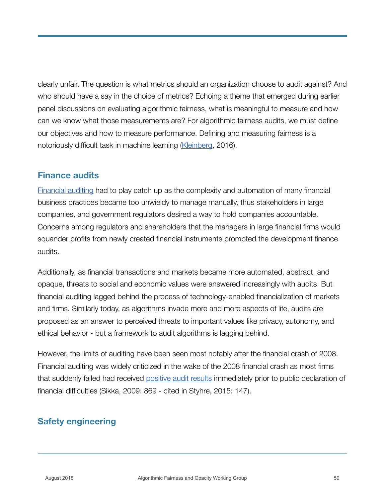clearly unfair. The question is what metrics should an organization choose to audit against? And who should have a say in the choice of metrics? Echoing a theme that emerged during earlier panel discussions on evaluating algorithmic fairness, what is meaningful to measure and how can we know what those measurements are? For algorithmic fairness audits, we must define our objectives and how to measure performance. Defining and measuring fairness is a notoriously difficult task in machine learning [\(Kleinberg,](https://arxiv.org/abs/1609.05807) 2016).

#### **Finance audits**

[Financial auditing](https://www.aicpa.org/interestareas/frc/assuranceadvisoryservices/downloadabledocuments/whitepaper_evolution-of-auditing.pdf) had to play catch up as the complexity and automation of many financial business practices became too unwieldy to manage manually, thus stakeholders in large companies, and government regulators desired a way to hold companies accountable. Concerns among regulators and shareholders that the managers in large financial firms would squander profits from newly created financial instruments prompted the development finance audits.

Additionally, as financial transactions and markets became more automated, abstract, and opaque, threats to social and economic values were answered increasingly with audits. But financial auditing lagged behind the process of technology-enabled financialization of markets and firms. Similarly today, as algorithms invade more and more aspects of life, audits are proposed as an answer to perceived threats to important values like privacy, autonomy, and ethical behavior - but a framework to audit algorithms is lagging behind.

However, the limits of auditing have been seen most notably after the financial crash of 2008. Financial auditing was widely criticized in the wake of the 2008 financial crash as most firms that suddenly failed had received [positive audit results](https://www.e-elgar.com/shop/the-financialization-of-the-firm) immediately prior to public declaration of financial difficulties (Sikka, 2009: 869 - cited in Styhre, 2015: 147).

#### **Safety engineering**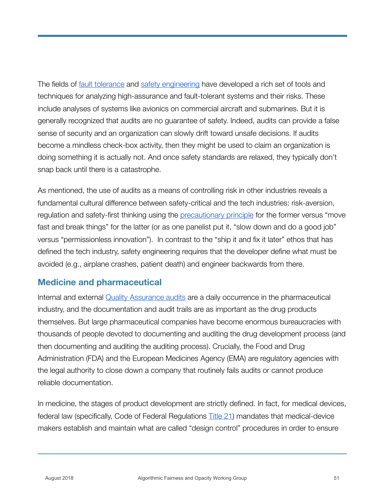The fields of [fault tolerance](https://www.idi.ntnu.no/~noervaag/papers/IDI-TR-6-99.pdf) and [safety engineering](https://link.springer.com/article/10.1007/s11219-016-9307-9) have developed a rich set of tools and techniques for analyzing high-assurance and fault-tolerant systems and their risks. These include analyses of systems like avionics on commercial aircraft and submarines. But it is generally recognized that audits are no guarantee of safety. Indeed, audits can provide a false sense of security and an organization can slowly drift toward unsafe decisions. If audits become a mindless check-box activity, then they might be used to claim an organization is doing something it is actually not. And once safety standards are relaxed, they typically don't snap back until there is a catastrophe.

As mentioned, the use of audits as a means of controlling risk in other industries reveals a fundamental cultural difference between safety-critical and the tech industries: risk-aversion, regulation and safety-first thinking using the [precautionary principle](https://en.wikipedia.org/wiki/Precautionary_principle) for the former versus "move fast and break things" for the latter (or as one panelist put it, "slow down and do a good job" versus "permissionless innovation"). In contrast to the "ship it and fix it later" ethos that has defined the tech industry, safety engineering requires that the developer define what must be avoided (e.g., airplane crashes, patient death) and engineer backwards from there.

#### **Medicine and pharmaceutical**

Internal and external [Quality Assurance audits](http://journals.sagepub.com/doi/abs/10.1177/009286150403800410) are a daily occurrence in the pharmaceutical industry, and the documentation and audit trails are as important as the drug products themselves. But large pharmaceutical companies have become enormous bureaucracies with thousands of people devoted to documenting and auditing the drug development process (and then documenting and auditing the auditing process). Crucially, the Food and Drug Administration (FDA) and the European Medicines Agency (EMA) are regulatory agencies with the legal authority to close down a company that routinely fails audits or cannot produce reliable documentation.

In medicine, the stages of product development are strictly defined. In fact, for medical devices, federal law (specifically, Code of Federal Regulations **Title 21)** mandates that medical-device makers establish and maintain what are called "design control" procedures in order to ensure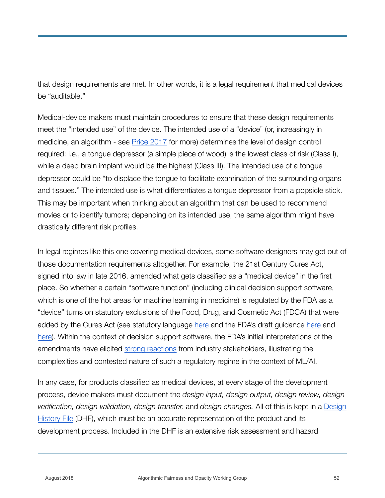that design requirements are met. In other words, it is a legal requirement that medical devices be "auditable."

Medical-device makers must maintain procedures to ensure that these design requirements meet the "intended use" of the device. The intended use of a "device" (or, increasingly in medicine, an algorithm - see **Price 2017** for more) determines the level of design control required: i.e., a tongue depressor (a simple piece of wood) is the lowest class of risk (Class I), while a deep brain implant would be the highest (Class III). The intended use of a tongue depressor could be "to displace the tongue to facilitate examination of the surrounding organs and tissues." The intended use is what differentiates a tongue depressor from a popsicle stick. This may be important when thinking about an algorithm that can be used to recommend movies or to identify tumors; depending on its intended use, the same algorithm might have drastically different risk profiles.

In legal regimes like this one covering medical devices, some software designers may get out of those documentation requirements altogether. For example, the 21st Century Cures Act, signed into law in late 2016, amended what gets classified as a "medical device" in the first place. So whether a certain "software function" (including clinical decision support software, which is one of the hot areas for machine learning in medicine) is regulated by the FDA as a "device" turns on statutory exclusions of the Food, Drug, and Cosmetic Act (FDCA) that were added by the Cures Act (see statutory language [here](https://www.fda.gov/downloads/MedicalDevices/DeviceRegulationandGuidance/GuidanceDocuments/UCM587820.pdf) and the FDA's draft guidance here and [here](https://www.fda.gov/downloads/MedicalDevices/DeviceRegulationandGuidance/GuidanceDocuments/UCM587819.pdf)). Within the context of decision support software, the FDA's initial interpretations of the amendments have elicited [strong reactions](http://cdscoalition.org/wp-content/uploads/2018/02/FINAL-CDS-Coalition-Comments-to-CDS-Software-Draft-Guidance-5Feb2018.pdf) from industry stakeholders, illustrating the complexities and contested nature of such a regulatory regime in the context of ML/AI.

In any case, for products classified as medical devices, at every stage of the development process, device makers must document the *design input, design output, design review, design verification, design validation, design transfer,* and *design changes.* All of this is kept in a [Design](https://en.wikipedia.org/wiki/Design_history_file)  [History File](https://en.wikipedia.org/wiki/Design_history_file) (DHF), which must be an accurate representation of the product and its development process. Included in the DHF is an extensive risk assessment and hazard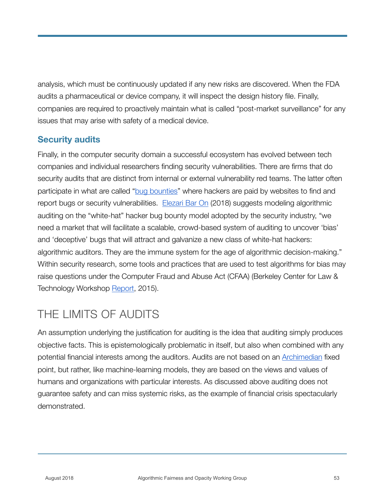analysis, which must be continuously updated if any new risks are discovered. When the FDA audits a pharmaceutical or device company, it will inspect the design history file. Finally, companies are required to proactively maintain what is called "post-market surveillance" for any issues that may arise with safety of a medical device.

#### **Security audits**

Finally, in the computer security domain a successful ecosystem has evolved between tech companies and individual researchers finding security vulnerabilities. There are firms that do security audits that are distinct from internal or external vulnerability red teams. The latter often participate in what are called "[bug bounties](https://en.wikipedia.org/wiki/Bug_bounty_program)" where hackers are paid by websites to find and report bugs or security vulnerabilities. [Elezari Bar On](https://motherboard.vice.com/en_us/article/8xkyj3/we-need-bug-bounties-for-bad-algorithms) (2018) suggests modeling algorithmic auditing on the "white-hat" hacker bug bounty model adopted by the security industry, "we need a market that will facilitate a scalable, crowd-based system of auditing to uncover 'bias' and 'deceptive' bugs that will attract and galvanize a new class of white-hat hackers: algorithmic auditors. They are the immune system for the age of algorithmic decision-making." Within security research, some tools and practices that are used to test algorithms for bias may raise questions under the Computer Fraud and Abuse Act (CFAA) (Berkeley Center for Law & Technology Workshop [Report](https://www.ischool.berkeley.edu/sites/default/files/cybersec-research-nsf-workshop.pdf), 2015).

## THE LIMITS OF AUDITS

An assumption underlying the justification for auditing is the idea that auditing simply produces objective facts. This is epistemologically problematic in itself, but also when combined with any potential financial interests among the auditors. Audits are not based on an [Archimedian](https://en.wikipedia.org/wiki/Archimedean_point) fixed point, but rather, like machine-learning models, they are based on the views and values of humans and organizations with particular interests. As discussed above auditing does not guarantee safety and can miss systemic risks, as the example of financial crisis spectacularly demonstrated.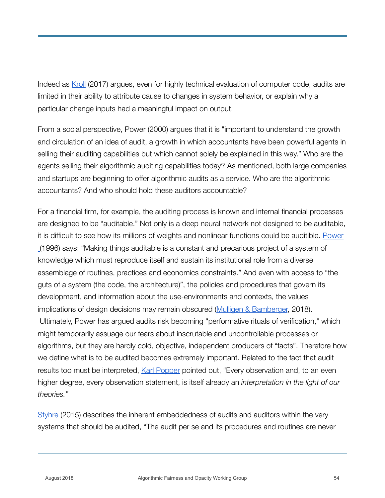Indeed as [Kroll](https://scholarship.law.upenn.edu/cgi/viewcontent.cgi?article=9570&context=penn_law_review) (2017) argues, even for highly technical evaluation of computer code, audits are limited in their ability to attribute cause to changes in system behavior, or explain why a particular change inputs had a meaningful impact on output.

From a social perspective, Power (2000) argues that it is "important to understand the growth and circulation of an idea of audit, a growth in which accountants have been powerful agents in selling their auditing capabilities but which cannot solely be explained in this way." Who are the agents selling their algorithmic auditing capabilities today? As mentioned, both large companies and startups are beginning to offer algorithmic audits as a service. Who are the algorithmic accountants? And who should hold these auditors accountable?

For a financial firm, for example, the auditing process is known and internal financial processes are designed to be "auditable." Not only is a deep neural network not designed to be auditable, it is difficult to see how its millions of weights and nonlinear functions could be auditible. [Power](https://www.sciencedirect.com/science/article/pii/0361368295000046)  (1996) says: "Making things auditable is a constant and precarious project of a system of knowledge which must reproduce itself and sustain its institutional role from a diverse assemblage of routines, practices and economics constraints." And even with access to "the guts of a system (the code, the architecture)", the policies and procedures that govern its development, and information about the use-environments and contexts, the values implications of design decisions may remain obscured [\(Mulligen & Bamberger,](https://ssrn.com/abstract=3175017) 2018). Ultimately, Power has argued audits risk becoming "performative rituals of verification," which might temporarily assuage our fears about inscrutable and uncontrollable processes or algorithms, but they are hardly cold, objective, independent producers of "facts". Therefore how we define what is to be audited becomes extremely important. Related to the fact that audit results too must be interpreted, [Karl Popper](http://cw.routledge.com/textbooks/popper/works/realism_science.html) pointed out, "Every observation and, to an even higher degree, every observation statement, is itself already an *interpretation in the light of our theories."* 

[Styhre](https://www.e-elgar.com/shop/the-financialization-of-the-firm) (2015) describes the inherent embeddedness of audits and auditors within the very systems that should be audited, "The audit per se and its procedures and routines are never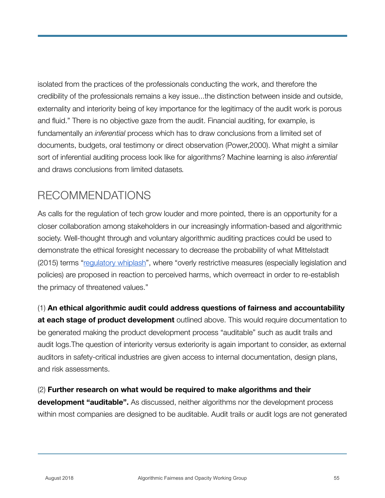isolated from the practices of the professionals conducting the work, and therefore the credibility of the professionals remains a key issue...the distinction between inside and outside, externality and interiority being of key importance for the legitimacy of the audit work is porous and fluid." There is no objective gaze from the audit. Financial auditing, for example, is fundamentally an *inferential* process which has to draw conclusions from a limited set of documents, budgets, oral testimony or direct observation (Power,2000). What might a similar sort of inferential auditing process look like for algorithms? Machine learning is also *inferential*  and draws conclusions from limited datasets*.*

## RECOMMENDATIONS

As calls for the regulation of tech grow louder and more pointed, there is an opportunity for a closer collaboration among stakeholders in our increasingly information-based and algorithmic society. Well-thought through and voluntary algorithmic auditing practices could be used to demonstrate the ethical foresight necessary to decrease the probability of what Mittelstadt (2015) terms "[regulatory whiplash](http://journals.sagepub.com/doi/pdf/10.1177/2053951716679679)", where "overly restrictive measures (especially legislation and policies) are proposed in reaction to perceived harms, which overreact in order to re-establish the primacy of threatened values."

#### (1) **An ethical algorithmic audit could address questions of fairness and accountability**

**at each stage of product development** outlined above. This would require documentation to be generated making the product development process "auditable" such as audit trails and audit logs.The question of interiority versus exteriority is again important to consider, as external auditors in safety-critical industries are given access to internal documentation, design plans, and risk assessments.

#### (2) **Further research on what would be required to make algorithms and their**

**development "auditable".** As discussed, neither algorithms nor the development process within most companies are designed to be auditable. Audit trails or audit logs are not generated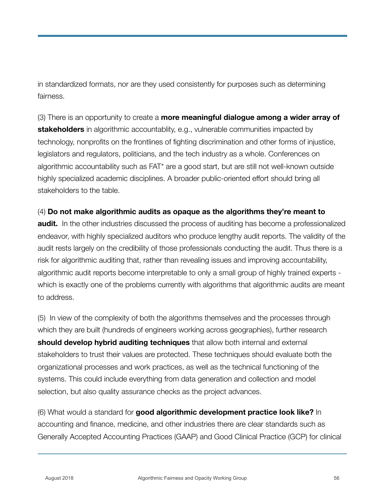in standardized formats, nor are they used consistently for purposes such as determining fairness.

(3) There is an opportunity to create a **more meaningful dialogue among a wider array of stakeholders** in algorithmic accountablity, e.g., vulnerable communities impacted by technology, nonprofits on the frontlines of fighting discrimination and other forms of injustice, legislators and regulators, politicians, and the tech industry as a whole. Conferences on algorithmic accountability such as FAT\* are a good start, but are still not well-known outside highly specialized academic disciplines. A broader public-oriented effort should bring all stakeholders to the table.

#### (4) **Do not make algorithmic audits as opaque as the algorithms they're meant to**

**audit.** In the other industries discussed the process of auditing has become a professionalized endeavor, with highly specialized auditors who produce lengthy audit reports. The validity of the audit rests largely on the credibility of those professionals conducting the audit. Thus there is a risk for algorithmic auditing that, rather than revealing issues and improving accountability, algorithmic audit reports become interpretable to only a small group of highly trained experts which is exactly one of the problems currently with algorithms that algorithmic audits are meant to address.

(5) In view of the complexity of both the algorithms themselves and the processes through which they are built (hundreds of engineers working across geographies), further research **should develop hybrid auditing techniques** that allow both internal and external stakeholders to trust their values are protected. These techniques should evaluate both the organizational processes and work practices, as well as the technical functioning of the systems. This could include everything from data generation and collection and model selection, but also quality assurance checks as the project advances.

(6) What would a standard for **good algorithmic development practice look like?** In accounting and finance, medicine, and other industries there are clear standards such as Generally Accepted Accounting Practices (GAAP) and Good Clinical Practice (GCP) for clinical